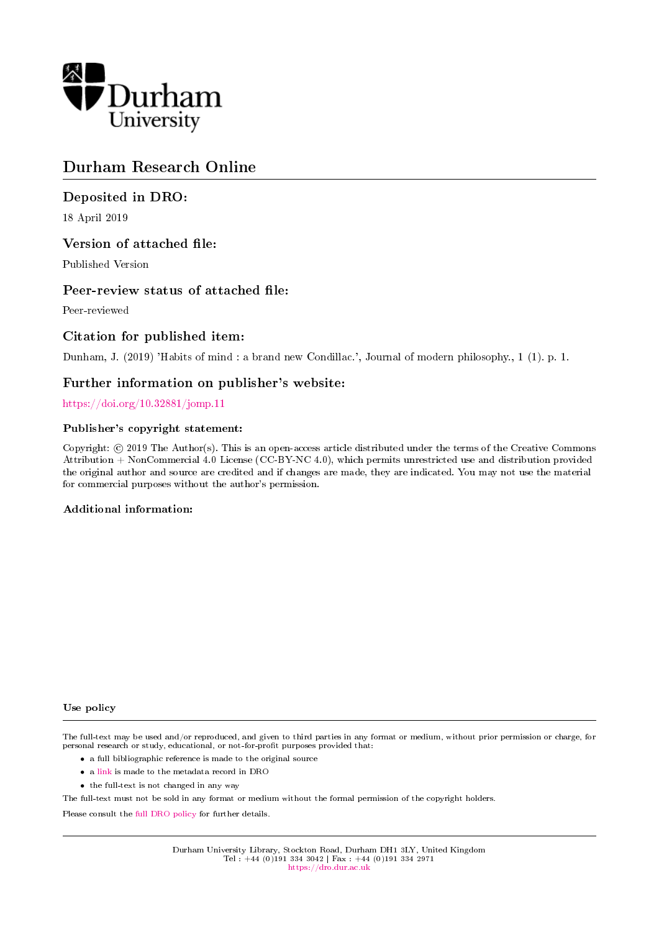

## Durham Research Online

## Deposited in DRO:

18 April 2019

## Version of attached file:

Published Version

## Peer-review status of attached file:

Peer-reviewed

## Citation for published item:

Dunham, J. (2019) 'Habits of mind : a brand new Condillac.', Journal of modern philosophy., 1 (1). p. 1.

### Further information on publisher's website:

<https://doi.org/10.32881/jomp.11>

### Publisher's copyright statement:

Copyright: © 2019 The Author(s). This is an open-access article distributed under the terms of the Creative Commons Attribution + NonCommercial 4.0 License (CC-BY-NC 4.0), which permits unrestricted use and distribution provided the original author and source are credited and if changes are made, they are indicated. You may not use the material for commercial purposes without the author's permission.

### Additional information:

#### Use policy

The full-text may be used and/or reproduced, and given to third parties in any format or medium, without prior permission or charge, for personal research or study, educational, or not-for-profit purposes provided that:

- a full bibliographic reference is made to the original source
- a [link](http://dro.dur.ac.uk/26781/) is made to the metadata record in DRO
- the full-text is not changed in any way

The full-text must not be sold in any format or medium without the formal permission of the copyright holders.

Please consult the [full DRO policy](https://dro.dur.ac.uk/policies/usepolicy.pdf) for further details.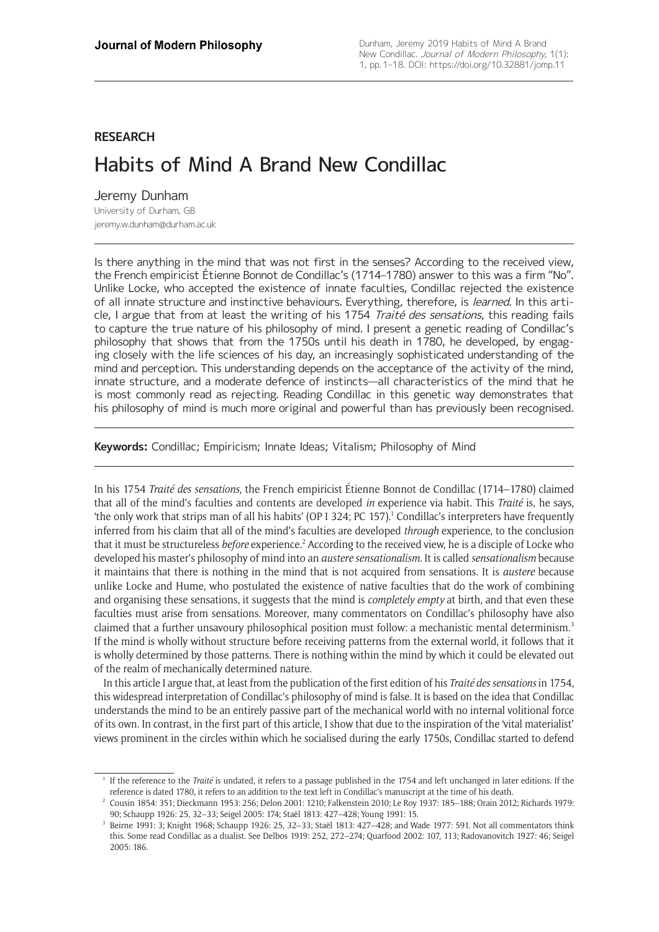## **RESEARCH**

# Habits of Mind A Brand New Condillac

Jeremy Dunham University of Durham, GB [jeremy.w.dunham@durham.ac.uk](mailto:jeremy.w.dunham@durham.ac.uk)

Is there anything in the mind that was not first in the senses? According to the received view, the French empiricist Étienne Bonnot de Condillac's (1714–1780) answer to this was a firm "No". Unlike Locke, who accepted the existence of innate faculties, Condillac rejected the existence of all innate structure and instinctive behaviours. Everything, therefore, is learned. In this article, I argue that from at least the writing of his 1754 Traité des sensations, this reading fails to capture the true nature of his philosophy of mind. I present a genetic reading of Condillac's philosophy that shows that from the 1750s until his death in 1780, he developed, by engaging closely with the life sciences of his day, an increasingly sophisticated understanding of the mind and perception. This understanding depends on the acceptance of the activity of the mind, innate structure, and a moderate defence of instincts—all characteristics of the mind that he is most commonly read as rejecting. Reading Condillac in this genetic way demonstrates that his philosophy of mind is much more original and powerful than has previously been recognised.

**Keywords:** Condillac; Empiricism; Innate Ideas; Vitalism; Philosophy of Mind

In his 1754 *Traité des sensations*, the French empiricist Étienne Bonnot de Condillac (1714–1780) claimed that all of the mind's faculties and contents are developed *in* experience via habit. This *Traité* is, he says, 'the only work that strips man of all his habits' (OP I 324; PC 157).<sup>1</sup> Condillac's interpreters have frequently inferred from his claim that all of the mind's faculties are developed *through* experience, to the conclusion that it must be structureless *before* experience.<sup>2</sup> According to the received view, he is a disciple of Locke who developed his master's philosophy of mind into an *austere sensationalism*. It is called *sensationalism* because it maintains that there is nothing in the mind that is not acquired from sensations. It is *austere* because unlike Locke and Hume, who postulated the existence of native faculties that do the work of combining and organising these sensations, it suggests that the mind is *completely empty* at birth, and that even these faculties must arise from sensations. Moreover, many commentators on Condillac's philosophy have also claimed that a further unsavoury philosophical position must follow: a mechanistic mental determinism.<sup>3</sup> If the mind is wholly without structure before receiving patterns from the external world, it follows that it is wholly determined by those patterns. There is nothing within the mind by which it could be elevated out of the realm of mechanically determined nature.

In this article I argue that, at least from the publication of the first edition of his *Traité des sensations* in 1754, this widespread interpretation of Condillac's philosophy of mind is false. It is based on the idea that Condillac understands the mind to be an entirely passive part of the mechanical world with no internal volitional force of its own. In contrast, in the first part of this article, I show that due to the inspiration of the 'vital materialist' views prominent in the circles within which he socialised during the early 1750s, Condillac started to defend

<sup>1</sup> If the reference to the *Traité* is undated, it refers to a passage published in the 1754 and left unchanged in later editions. If the reference is dated 1780, it refers to an addition to the text left in Condillac's manuscript at the time of his death.

<sup>2</sup> Cousin 1854: 351; Dieckmann 1953: 256; Delon 2001: 1210; Falkenstein 2010; Le Roy 1937: 185–188; Orain 2012; Richards 1979: 90; Schaupp 1926: 25, 32–33; Seigel 2005: 174; Staël 1813: 427–428; Young 1991: 15.

<sup>3</sup> Beirne 1991: 3; Knight 1968; Schaupp 1926: 25, 32–33; Staël 1813: 427–428; and Wade 1977: 591. Not all commentators think this. Some read Condillac as a dualist. See Delbos 1919: 252, 272–274; Quarfood 2002: 107, 113; Radovanovitch 1927: 46; Seigel 2005: 186.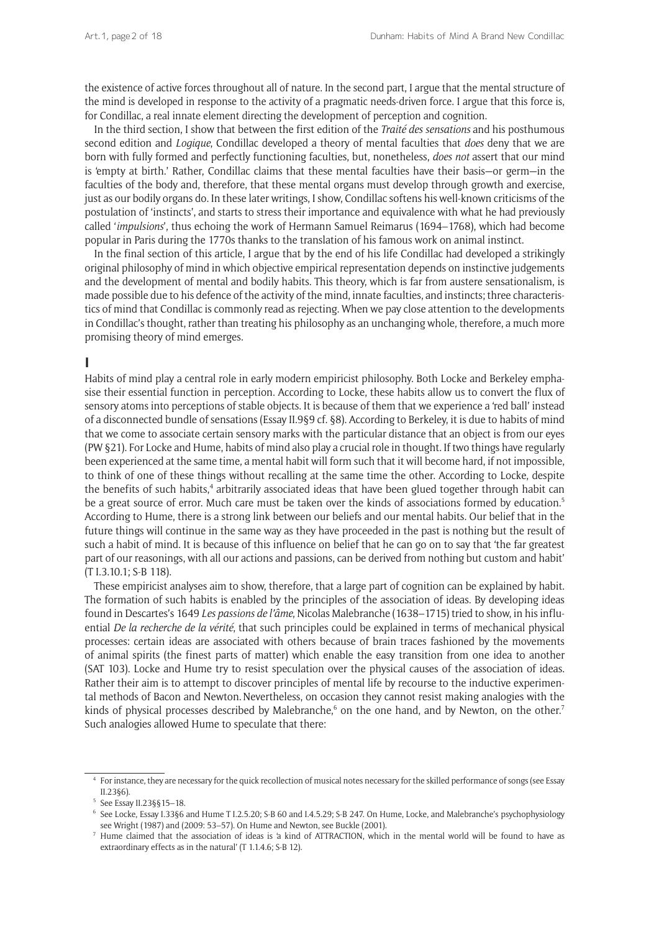the existence of active forces throughout all of nature. In the second part, I argue that the mental structure of the mind is developed in response to the activity of a pragmatic needs-driven force. I argue that this force is, for Condillac, a real innate element directing the development of perception and cognition.

In the third section, I show that between the first edition of the *Traité des sensations* and his posthumous second edition and *Logique*, Condillac developed a theory of mental faculties that *does* deny that we are born with fully formed and perfectly functioning faculties, but, nonetheless, *does not* assert that our mind is 'empty at birth.' Rather, Condillac claims that these mental faculties have their basis—or germ—in the faculties of the body and, therefore, that these mental organs must develop through growth and exercise, just as our bodily organs do. In these later writings, I show, Condillac softens his well-known criticisms of the postulation of 'instincts', and starts to stress their importance and equivalence with what he had previously called '*impulsions*', thus echoing the work of Hermann Samuel Reimarus (1694–1768), which had become popular in Paris during the 1770s thanks to the translation of his famous work on animal instinct.

In the final section of this article, I argue that by the end of his life Condillac had developed a strikingly original philosophy of mind in which objective empirical representation depends on instinctive judgements and the development of mental and bodily habits. This theory, which is far from austere sensationalism, is made possible due to his defence of the activity of the mind, innate faculties, and instincts; three characteristics of mind that Condillac is commonly read as rejecting. When we pay close attention to the developments in Condillac's thought, rather than treating his philosophy as an unchanging whole, therefore, a much more promising theory of mind emerges.

## **I**

Habits of mind play a central role in early modern empiricist philosophy. Both Locke and Berkeley emphasise their essential function in perception. According to Locke, these habits allow us to convert the flux of sensory atoms into perceptions of stable objects. It is because of them that we experience a 'red ball' instead of a disconnected bundle of sensations (Essay II.9§9 cf. §8). According to Berkeley, it is due to habits of mind that we come to associate certain sensory marks with the particular distance that an object is from our eyes (PW §21). For Locke and Hume, habits of mind also play a crucial role in thought. If two things have regularly been experienced at the same time, a mental habit will form such that it will become hard, if not impossible, to think of one of these things without recalling at the same time the other. According to Locke, despite the benefits of such habits,<sup>4</sup> arbitrarily associated ideas that have been glued together through habit can be a great source of error. Much care must be taken over the kinds of associations formed by education.<sup>5</sup> According to Hume, there is a strong link between our beliefs and our mental habits. Our belief that in the future things will continue in the same way as they have proceeded in the past is nothing but the result of such a habit of mind. It is because of this influence on belief that he can go on to say that 'the far greatest part of our reasonings, with all our actions and passions, can be derived from nothing but custom and habit' (T I.3.10.1; S-B 118).

These empiricist analyses aim to show, therefore, that a large part of cognition can be explained by habit. The formation of such habits is enabled by the principles of the association of ideas. By developing ideas found in Descartes's 1649 *Les passions de l'âme*, Nicolas Malebranche (1638–1715) tried to show, in his influential *De la recherche de la vérité*, that such principles could be explained in terms of mechanical physical processes: certain ideas are associated with others because of brain traces fashioned by the movements of animal spirits (the finest parts of matter) which enable the easy transition from one idea to another (SAT 103). Locke and Hume try to resist speculation over the physical causes of the association of ideas. Rather their aim is to attempt to discover principles of mental life by recourse to the inductive experimental methods of Bacon and Newton.Nevertheless, on occasion they cannot resist making analogies with the kinds of physical processes described by Malebranche,<sup>6</sup> on the one hand, and by Newton, on the other.<sup>7</sup> Such analogies allowed Hume to speculate that there:

<sup>4</sup> For instance, they are necessary for the quick recollection of musical notes necessary for the skilled performance of songs (see Essay II.23§6).

<sup>5</sup> See Essay II.23§§15–18.

<sup>6</sup> See Locke, Essay I.33§6 and Hume T I.2.5.20; S-B 60 and I.4.5.29; S-B 247. On Hume, Locke, and Malebranche's psychophysiology see Wright (1987) and (2009: 53–57). On Hume and Newton, see Buckle (2001).

<sup>7</sup> Hume claimed that the association of ideas is 'a kind of ATTRACTION, which in the mental world will be found to have as extraordinary effects as in the natural' (T 1.1.4.6; S-B 12).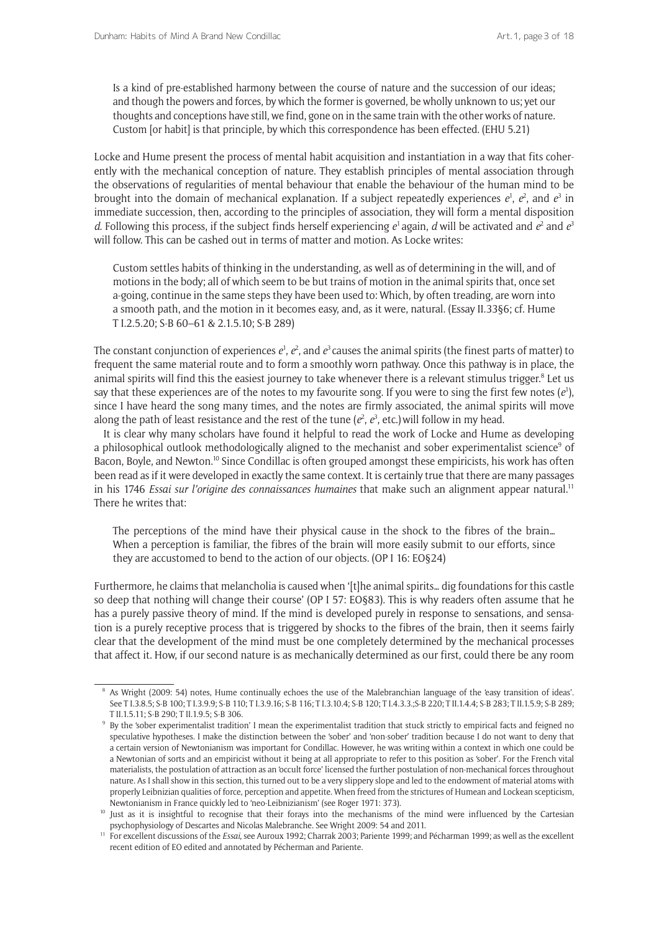Is a kind of pre-established harmony between the course of nature and the succession of our ideas; and though the powers and forces, by which the former is governed, be wholly unknown to us; yet our thoughts and conceptions have still, we find, gone on in the same train with the other works of nature. Custom [or habit] is that principle, by which this correspondence has been effected. (EHU 5.21)

Locke and Hume present the process of mental habit acquisition and instantiation in a way that fits coherently with the mechanical conception of nature. They establish principles of mental association through the observations of regularities of mental behaviour that enable the behaviour of the human mind to be brought into the domain of mechanical explanation. If a subject repeatedly experiences  $e^1$ ,  $e^2$ , and  $e^3$  in immediate succession, then, according to the principles of association, they will form a mental disposition d. Following this process, if the subject finds herself experiencing  $e^1$  again, d will be activated and  $e^2$  and  $e^3$ will follow. This can be cashed out in terms of matter and motion. As Locke writes:

Custom settles habits of thinking in the understanding, as well as of determining in the will, and of motions in the body; all of which seem to be but trains of motion in the animal spirits that, once set a-going, continue in the same steps they have been used to: Which, by often treading, are worn into a smooth path, and the motion in it becomes easy, and, as it were, natural. (Essay II.33§6; cf. Hume T I.2.5.20; S-B 60–61 & 2.1.5.10; S-B 289)

The constant conjunction of experiences  $e^1$ ,  $e^2$ , and  $e^3$  causes the animal spirits (the finest parts of matter) to frequent the same material route and to form a smoothly worn pathway. Once this pathway is in place, the animal spirits will find this the easiest journey to take whenever there is a relevant stimulus trigger. $8$  Let us say that these experiences are of the notes to my favourite song. If you were to sing the first few notes (*e*<sup>1</sup> ), since I have heard the song many times, and the notes are firmly associated, the animal spirits will move along the path of least resistance and the rest of the tune ( $e^2$ ,  $e^3$ , etc.) will follow in my head.

It is clear why many scholars have found it helpful to read the work of Locke and Hume as developing a philosophical outlook methodologically aligned to the mechanist and sober experimentalist science<sup>9</sup> of Bacon, Boyle, and Newton.<sup>10</sup> Since Condillac is often grouped amongst these empiricists, his work has often been read as if it were developed in exactly the same context. It is certainly true that there are many passages in his 1746 *Essai sur l'origine des connaissances humaines* that make such an alignment appear natural.<sup>11</sup> There he writes that:

The perceptions of the mind have their physical cause in the shock to the fibres of the brain… When a perception is familiar, the fibres of the brain will more easily submit to our efforts, since they are accustomed to bend to the action of our objects. (OP I 16: EO§24)

Furthermore, he claims that melancholia is caused when '[t]he animal spirits… dig foundations for this castle so deep that nothing will change their course' (OP I 57: EO§83). This is why readers often assume that he has a purely passive theory of mind. If the mind is developed purely in response to sensations, and sensation is a purely receptive process that is triggered by shocks to the fibres of the brain, then it seems fairly clear that the development of the mind must be one completely determined by the mechanical processes that affect it. How, if our second nature is as mechanically determined as our first, could there be any room

<sup>8</sup> As Wright (2009: 54) notes, Hume continually echoes the use of the Malebranchian language of the 'easy transition of ideas'. See T I.3.8.5; S-B 100; T I.3.9.9; S-B 110; T I.3.9.16; S-B 116; T I.3.10.4; S-B 120; T I.4.3.3.;S-B 220; T II.1.4.4; S-B 283; T II.1.5.9; S-B 289; T II.1.5.11; S-B 290; T II.1.9.5; S-B 306.

<sup>&</sup>lt;sup>9</sup> By the 'sober experimentalist tradition' I mean the experimentalist tradition that stuck strictly to empirical facts and feigned no speculative hypotheses. I make the distinction between the 'sober' and 'non-sober' tradition because I do not want to deny that a certain version of Newtonianism was important for Condillac. However, he was writing within a context in which one could be a Newtonian of sorts and an empiricist without it being at all appropriate to refer to this position as 'sober'. For the French vital materialists, the postulation of attraction as an 'occult force' licensed the further postulation of non-mechanical forces throughout nature. As I shall show in this section, this turned out to be a very slippery slope and led to the endowment of material atoms with properly Leibnizian qualities of force, perception and appetite. When freed from the strictures of Humean and Lockean scepticism, Newtonianism in France quickly led to 'neo-Leibnizianism' (see Roger 1971: 373).

<sup>&</sup>lt;sup>10</sup> Just as it is insightful to recognise that their forays into the mechanisms of the mind were influenced by the Cartesian psychophysiology of Descartes and Nicolas Malebranche. See Wright 2009: 54 and 2011.

<sup>11</sup> For excellent discussions of the *Essai*, see Auroux 1992; Charrak 2003; Pariente 1999; and Pécharman 1999; as well as the excellent recent edition of EO edited and annotated by Pécherman and Pariente.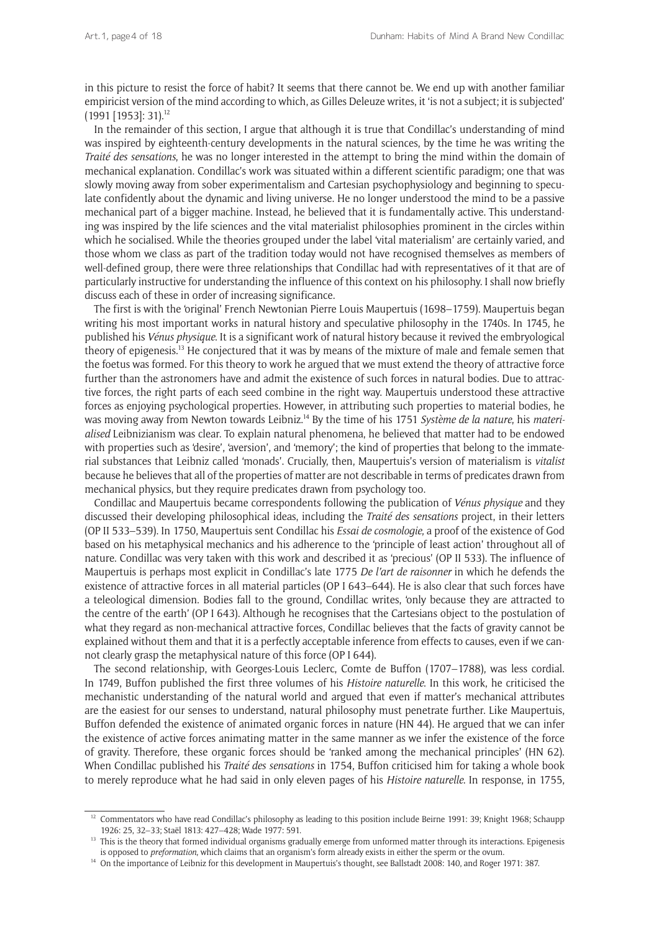in this picture to resist the force of habit? It seems that there cannot be. We end up with another familiar empiricist version of the mind according to which, as Gilles Deleuze writes, it 'is not a subject; it is subjected' (1991 [1953]: 31).12

In the remainder of this section, I argue that although it is true that Condillac's understanding of mind was inspired by eighteenth-century developments in the natural sciences, by the time he was writing the *Traité des sensations*, he was no longer interested in the attempt to bring the mind within the domain of mechanical explanation. Condillac's work was situated within a different scientific paradigm; one that was slowly moving away from sober experimentalism and Cartesian psychophysiology and beginning to speculate confidently about the dynamic and living universe. He no longer understood the mind to be a passive mechanical part of a bigger machine. Instead, he believed that it is fundamentally active. This understanding was inspired by the life sciences and the vital materialist philosophies prominent in the circles within which he socialised. While the theories grouped under the label 'vital materialism' are certainly varied, and those whom we class as part of the tradition today would not have recognised themselves as members of well-defined group, there were three relationships that Condillac had with representatives of it that are of particularly instructive for understanding the influence of this context on his philosophy. I shall now briefly discuss each of these in order of increasing significance.

The first is with the 'original' French Newtonian Pierre Louis Maupertuis (1698–1759). Maupertuis began writing his most important works in natural history and speculative philosophy in the 1740s. In 1745, he published his *Vénus physique*. It is a significant work of natural history because it revived the embryological theory of epigenesis.13 He conjectured that it was by means of the mixture of male and female semen that the foetus was formed. For this theory to work he argued that we must extend the theory of attractive force further than the astronomers have and admit the existence of such forces in natural bodies. Due to attractive forces, the right parts of each seed combine in the right way. Maupertuis understood these attractive forces as enjoying psychological properties. However, in attributing such properties to material bodies, he was moving away from Newton towards Leibniz.14 By the time of his 1751 *Système de la nature*, his *materialised* Leibnizianism was clear. To explain natural phenomena, he believed that matter had to be endowed with properties such as 'desire', 'aversion', and 'memory'; the kind of properties that belong to the immaterial substances that Leibniz called 'monads'. Crucially, then, Maupertuis's version of materialism is *vitalist* because he believes that all of the properties of matter are not describable in terms of predicates drawn from mechanical physics, but they require predicates drawn from psychology too.

Condillac and Maupertuis became correspondents following the publication of *Vénus physique* and they discussed their developing philosophical ideas, including the *Traité des sensations* project, in their letters (OP II 533–539). In 1750, Maupertuis sent Condillac his *Essai de cosmologie*, a proof of the existence of God based on his metaphysical mechanics and his adherence to the 'principle of least action' throughout all of nature. Condillac was very taken with this work and described it as 'precious' (OP II 533). The influence of Maupertuis is perhaps most explicit in Condillac's late 1775 *De l'art de raisonner* in which he defends the existence of attractive forces in all material particles (OP I 643–644). He is also clear that such forces have a teleological dimension. Bodies fall to the ground, Condillac writes, 'only because they are attracted to the centre of the earth' (OP I 643). Although he recognises that the Cartesians object to the postulation of what they regard as non-mechanical attractive forces, Condillac believes that the facts of gravity cannot be explained without them and that it is a perfectly acceptable inference from effects to causes, even if we cannot clearly grasp the metaphysical nature of this force (OP I 644).

The second relationship, with Georges-Louis Leclerc, Comte de Buffon (1707–1788), was less cordial. In 1749, Buffon published the first three volumes of his *Histoire naturelle*. In this work, he criticised the mechanistic understanding of the natural world and argued that even if matter's mechanical attributes are the easiest for our senses to understand, natural philosophy must penetrate further. Like Maupertuis, Buffon defended the existence of animated organic forces in nature (HN 44). He argued that we can infer the existence of active forces animating matter in the same manner as we infer the existence of the force of gravity. Therefore, these organic forces should be 'ranked among the mechanical principles' (HN 62). When Condillac published his *Traité des sensations* in 1754, Buffon criticised him for taking a whole book to merely reproduce what he had said in only eleven pages of his *Histoire naturelle*. In response, in 1755,

 $12$  Commentators who have read Condillac's philosophy as leading to this position include Beirne 1991: 39; Knight 1968; Schaupp 1926: 25, 32–33; Staël 1813: 427–428; Wade 1977: 591.

<sup>&</sup>lt;sup>13</sup> This is the theory that formed individual organisms gradually emerge from unformed matter through its interactions. Epigenesis is opposed to *preformation*, which claims that an organism's form already exists in either the sperm or the ovum.

<sup>14</sup> On the importance of Leibniz for this development in Maupertuis's thought, see Ballstadt 2008: 140, and Roger 1971: 387.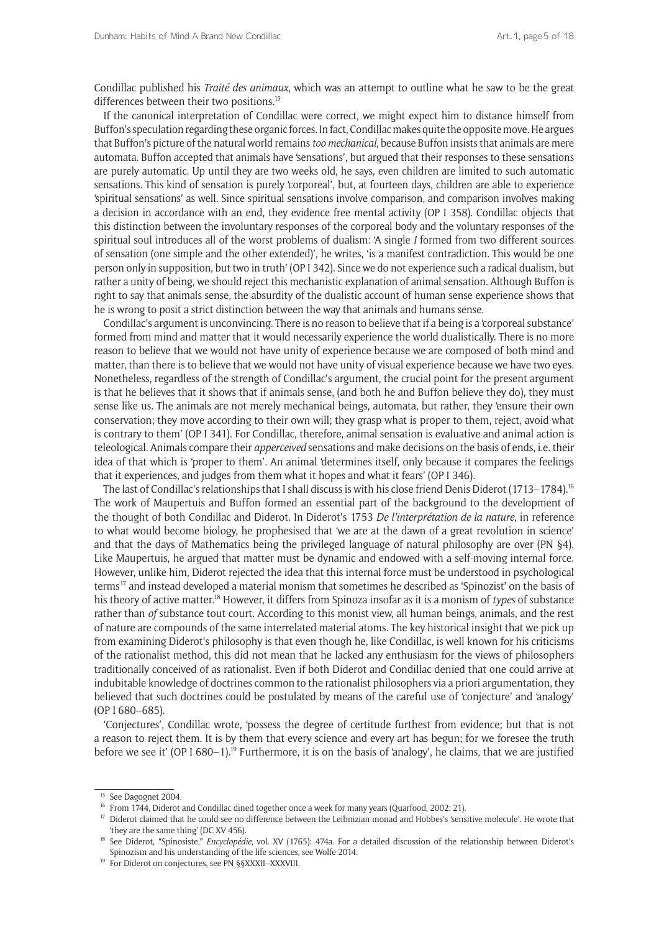Condillac published his *Traité des animaux*, which was an attempt to outline what he saw to be the great differences between their two positions.<sup>15</sup>

If the canonical interpretation of Condillac were correct, we might expect him to distance himself from Buffon's speculation regarding these organic forces. In fact, Condillac makes quite the opposite move. He argues that Buffon's picture of the natural world remains *too mechanical*, because Buffon insists that animals are mere automata. Buffon accepted that animals have 'sensations', but argued that their responses to these sensations are purely automatic. Up until they are two weeks old, he says, even children are limited to such automatic sensations. This kind of sensation is purely 'corporeal', but, at fourteen days, children are able to experience 'spiritual sensations' as well. Since spiritual sensations involve comparison, and comparison involves making a decision in accordance with an end, they evidence free mental activity (OP I 358). Condillac objects that this distinction between the involuntary responses of the corporeal body and the voluntary responses of the spiritual soul introduces all of the worst problems of dualism: 'A single *I* formed from two different sources of sensation (one simple and the other extended)', he writes, 'is a manifest contradiction. This would be one person only in supposition, but two in truth' (OP I 342). Since we do not experience such a radical dualism, but rather a unity of being, we should reject this mechanistic explanation of animal sensation. Although Buffon is right to say that animals sense, the absurdity of the dualistic account of human sense experience shows that he is wrong to posit a strict distinction between the way that animals and humans sense.

Condillac's argument is unconvincing. There is no reason to believe that if a being is a 'corporeal substance' formed from mind and matter that it would necessarily experience the world dualistically. There is no more reason to believe that we would not have unity of experience because we are composed of both mind and matter, than there is to believe that we would not have unity of visual experience because we have two eyes. Nonetheless, regardless of the strength of Condillac's argument, the crucial point for the present argument is that he believes that it shows that if animals sense, (and both he and Buffon believe they do), they must sense like us. The animals are not merely mechanical beings, automata, but rather, they 'ensure their own conservation; they move according to their own will; they grasp what is proper to them, reject, avoid what is contrary to them' (OP I 341). For Condillac, therefore, animal sensation is evaluative and animal action is teleological. Animals compare their *apperceived* sensations and make decisions on the basis of ends, i.e. their idea of that which is 'proper to them'. An animal 'determines itself, only because it compares the feelings that it experiences, and judges from them what it hopes and what it fears' (OP I 346).

The last of Condillac's relationships that I shall discuss is with his close friend Denis Diderot (1713–1784).<sup>16</sup> The work of Maupertuis and Buffon formed an essential part of the background to the development of the thought of both Condillac and Diderot. In Diderot's 1753 *De l'interprétation de la nature*, in reference to what would become biology, he prophesised that 'we are at the dawn of a great revolution in science' and that the days of Mathematics being the privileged language of natural philosophy are over (PN §4). Like Maupertuis, he argued that matter must be dynamic and endowed with a self-moving internal force. However, unlike him, Diderot rejected the idea that this internal force must be understood in psychological terms<sup>17</sup> and instead developed a material monism that sometimes he described as 'Spinozist' on the basis of his theory of active matter.18 However, it differs from Spinoza insofar as it is a monism of *types* of substance rather than *of* substance tout court. According to this monist view, all human beings, animals, and the rest of nature are compounds of the same interrelated material atoms. The key historical insight that we pick up from examining Diderot's philosophy is that even though he, like Condillac, is well known for his criticisms of the rationalist method, this did not mean that he lacked any enthusiasm for the views of philosophers traditionally conceived of as rationalist. Even if both Diderot and Condillac denied that one could arrive at indubitable knowledge of doctrines common to the rationalist philosophers via a priori argumentation, they believed that such doctrines could be postulated by means of the careful use of 'conjecture' and 'analogy' (OP I 680–685).

'Conjectures', Condillac wrote, 'possess the degree of certitude furthest from evidence; but that is not a reason to reject them. It is by them that every science and every art has begun; for we foresee the truth before we see it' (OP I 680–1).<sup>19</sup> Furthermore, it is on the basis of 'analogy', he claims, that we are justified

<sup>&</sup>lt;sup>15</sup> See Dagognet 2004.

<sup>&</sup>lt;sup>16</sup> From 1744, Diderot and Condillac dined together once a week for many years (Quarfood, 2002: 21).

<sup>&</sup>lt;sup>17</sup> Diderot claimed that he could see no difference between the Leibnizian monad and Hobbes's 'sensitive molecule'. He wrote that 'they are the same thing' (DC XV 456).

<sup>&</sup>lt;sup>18</sup> See Diderot, "Spinosiste," *Encyclopédie*, vol. XV (1765): 474a. For a detailed discussion of the relationship between Diderot's Spinozism and his understanding of the life sciences, see Wolfe 2014.

<sup>&</sup>lt;sup>19</sup> For Diderot on conjectures, see PN §§XXXII–XXXVIII.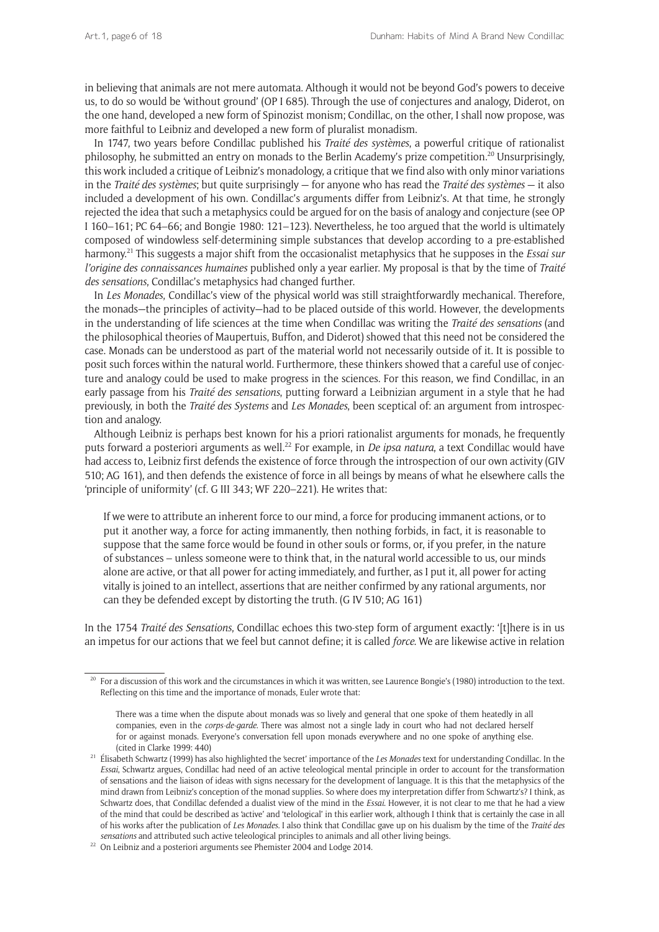in believing that animals are not mere automata. Although it would not be beyond God's powers to deceive us, to do so would be 'without ground' (OP I 685). Through the use of conjectures and analogy, Diderot, on the one hand, developed a new form of Spinozist monism; Condillac, on the other, I shall now propose, was more faithful to Leibniz and developed a new form of pluralist monadism.

In 1747, two years before Condillac published his *Traité des systèmes*, a powerful critique of rationalist philosophy, he submitted an entry on monads to the Berlin Academy's prize competition.<sup>20</sup> Unsurprisingly, this work included a critique of Leibniz's monadology, a critique that we find also with only minor variations in the *Traité des systèmes*; but quite surprisingly — for anyone who has read the *Traité des systèmes* — it also included a development of his own. Condillac's arguments differ from Leibniz's. At that time, he strongly rejected the idea that such a metaphysics could be argued for on the basis of analogy and conjecture (see OP I 160–161; PC 64–66; and Bongie 1980: 121–123). Nevertheless, he too argued that the world is ultimately composed of windowless self-determining simple substances that develop according to a pre-established harmony.21 This suggests a major shift from the occasionalist metaphysics that he supposes in the *Essai sur l'origine des connaissances humaines* published only a year earlier. My proposal is that by the time of *Traité des sensations*, Condillac's metaphysics had changed further.

In *Les Monades*, Condillac's view of the physical world was still straightforwardly mechanical. Therefore, the monads—the principles of activity—had to be placed outside of this world. However, the developments in the understanding of life sciences at the time when Condillac was writing the *Traité des sensations* (and the philosophical theories of Maupertuis, Buffon, and Diderot) showed that this need not be considered the case. Monads can be understood as part of the material world not necessarily outside of it. It is possible to posit such forces within the natural world. Furthermore, these thinkers showed that a careful use of conjecture and analogy could be used to make progress in the sciences. For this reason, we find Condillac, in an early passage from his *Traité des sensations*, putting forward a Leibnizian argument in a style that he had previously, in both the *Traité des Systems* and *Les Monades*, been sceptical of: an argument from introspection and analogy.

Although Leibniz is perhaps best known for his a priori rationalist arguments for monads, he frequently puts forward a posteriori arguments as well.<sup>22</sup> For example, in *De ipsa natura*, a text Condillac would have had access to, Leibniz first defends the existence of force through the introspection of our own activity (GIV 510; AG 161), and then defends the existence of force in all beings by means of what he elsewhere calls the 'principle of uniformity' (cf. G III 343; WF 220–221). He writes that:

If we were to attribute an inherent force to our mind, a force for producing immanent actions, or to put it another way, a force for acting immanently, then nothing forbids, in fact, it is reasonable to suppose that the same force would be found in other souls or forms, or, if you prefer, in the nature of substances – unless someone were to think that, in the natural world accessible to us, our minds alone are active, or that all power for acting immediately, and further, as I put it, all power for acting vitally is joined to an intellect, assertions that are neither confirmed by any rational arguments, nor can they be defended except by distorting the truth. (G IV 510; AG 161)

In the 1754 *Traité des Sensations*, Condillac echoes this two-step form of argument exactly: '[t]here is in us an impetus for our actions that we feel but cannot define; it is called *force*. We are likewise active in relation

<sup>&</sup>lt;sup>20</sup> For a discussion of this work and the circumstances in which it was written, see Laurence Bongie's (1980) introduction to the text. Reflecting on this time and the importance of monads, Euler wrote that:

There was a time when the dispute about monads was so lively and general that one spoke of them heatedly in all companies, even in the *corps-de-garde*. There was almost not a single lady in court who had not declared herself for or against monads. Everyone's conversation fell upon monads everywhere and no one spoke of anything else. (cited in Clarke 1999: 440)

<sup>21</sup> Élisabeth Schwartz (1999) has also highlighted the 'secret' importance of the *Les Monades* text for understanding Condillac. In the *Essai*, Schwartz argues, Condillac had need of an active teleological mental principle in order to account for the transformation of sensations and the liaison of ideas with signs necessary for the development of language. It is this that the metaphysics of the mind drawn from Leibniz's conception of the monad supplies. So where does my interpretation differ from Schwartz's? I think, as Schwartz does, that Condillac defended a dualist view of the mind in the *Essai*. However, it is not clear to me that he had a view of the mind that could be described as 'active' and 'telological' in this earlier work, although I think that is certainly the case in all of his works after the publication of *Les Monades*. I also think that Condillac gave up on his dualism by the time of the *Traité des sensations* and attributed such active teleological principles to animals and all other living beings.

 $^{22}\,$  On Leibniz and a posteriori arguments see Phemister 2004 and Lodge 2014.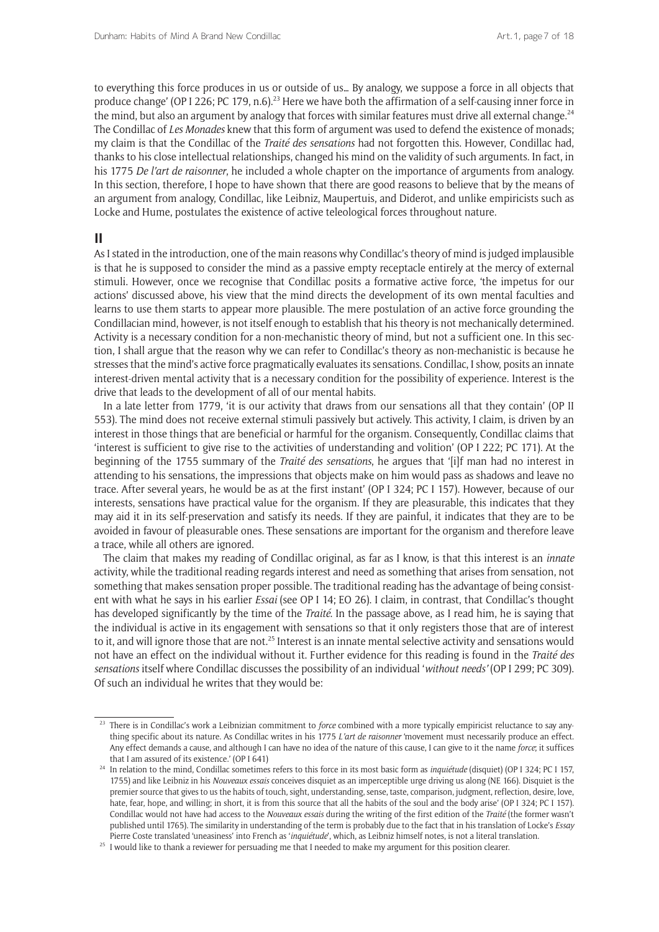to everything this force produces in us or outside of us… By analogy, we suppose a force in all objects that produce change' (OP I 226; PC 179, n.6).<sup>23</sup> Here we have both the affirmation of a self-causing inner force in the mind, but also an argument by analogy that forces with similar features must drive all external change.<sup>24</sup> The Condillac of *Les Monades* knew that this form of argument was used to defend the existence of monads; my claim is that the Condillac of the *Traité des sensations* had not forgotten this. However, Condillac had, thanks to his close intellectual relationships, changed his mind on the validity of such arguments. In fact, in his 1775 *De l'art de raisonner*, he included a whole chapter on the importance of arguments from analogy. In this section, therefore, I hope to have shown that there are good reasons to believe that by the means of an argument from analogy, Condillac, like Leibniz, Maupertuis, and Diderot, and unlike empiricists such as Locke and Hume, postulates the existence of active teleological forces throughout nature.

### **II**

As I stated in the introduction, one of the main reasons why Condillac's theory of mind is judged implausible is that he is supposed to consider the mind as a passive empty receptacle entirely at the mercy of external stimuli. However, once we recognise that Condillac posits a formative active force, 'the impetus for our actions' discussed above, his view that the mind directs the development of its own mental faculties and learns to use them starts to appear more plausible. The mere postulation of an active force grounding the Condillacian mind, however, is not itself enough to establish that his theory is not mechanically determined. Activity is a necessary condition for a non-mechanistic theory of mind, but not a sufficient one. In this section, I shall argue that the reason why we can refer to Condillac's theory as non-mechanistic is because he stresses that the mind's active force pragmatically evaluates its sensations. Condillac, I show, posits an innate interest-driven mental activity that is a necessary condition for the possibility of experience. Interest is the drive that leads to the development of all of our mental habits.

In a late letter from 1779, 'it is our activity that draws from our sensations all that they contain' (OP II 553). The mind does not receive external stimuli passively but actively. This activity, I claim, is driven by an interest in those things that are beneficial or harmful for the organism. Consequently, Condillac claims that 'interest is sufficient to give rise to the activities of understanding and volition' (OP I 222; PC 171). At the beginning of the 1755 summary of the *Traité des sensations*, he argues that '[i]f man had no interest in attending to his sensations, the impressions that objects make on him would pass as shadows and leave no trace. After several years, he would be as at the first instant' (OP I 324; PC I 157). However, because of our interests, sensations have practical value for the organism. If they are pleasurable, this indicates that they may aid it in its self-preservation and satisfy its needs. If they are painful, it indicates that they are to be avoided in favour of pleasurable ones. These sensations are important for the organism and therefore leave a trace, while all others are ignored.

The claim that makes my reading of Condillac original, as far as I know, is that this interest is an *innate*  activity, while the traditional reading regards interest and need as something that arises from sensation, not something that makes sensation proper possible. The traditional reading has the advantage of being consistent with what he says in his earlier *Essai* (see OP I 14; EO 26). I claim, in contrast, that Condillac's thought has developed significantly by the time of the *Traité*. In the passage above, as I read him, he is saying that the individual is active in its engagement with sensations so that it only registers those that are of interest to it, and will ignore those that are not.<sup>25</sup> Interest is an innate mental selective activity and sensations would not have an effect on the individual without it. Further evidence for this reading is found in the *Traité des sensations* itself where Condillac discusses the possibility of an individual '*without needs'* (OP I 299; PC 309). Of such an individual he writes that they would be:

<sup>&</sup>lt;sup>23</sup> There is in Condillac's work a Leibnizian commitment to *force* combined with a more typically empiricist reluctance to say anything specific about its nature. As Condillac writes in his 1775 *L'art de raisonner* 'movement must necessarily produce an effect. Any effect demands a cause, and although I can have no idea of the nature of this cause, I can give to it the name *force*; it suffices that I am assured of its existence.' (OP I 641)

<sup>24</sup> In relation to the mind, Condillac sometimes refers to this force in its most basic form as *inquiétude* (disquiet) (OP I 324; PC I 157, 1755) and like Leibniz in his *Nouveaux essais* conceives disquiet as an imperceptible urge driving us along (NE 166). Disquiet is the premier source that gives to us the habits of touch, sight, understanding, sense, taste, comparison, judgment, reflection, desire, love, hate, fear, hope, and willing; in short, it is from this source that all the habits of the soul and the body arise' (OP I 324; PC I 157). Condillac would not have had access to the *Nouveaux essais* during the writing of the first edition of the *Traité* (the former wasn't published until 1765). The similarity in understanding of the term is probably due to the fact that in his translation of Locke's *Essay* Pierre Coste translated 'uneasiness' into French as '*inquiétude*', which, as Leibniz himself notes, is not a literal translation.

 $25$  I would like to thank a reviewer for persuading me that I needed to make my argument for this position clearer.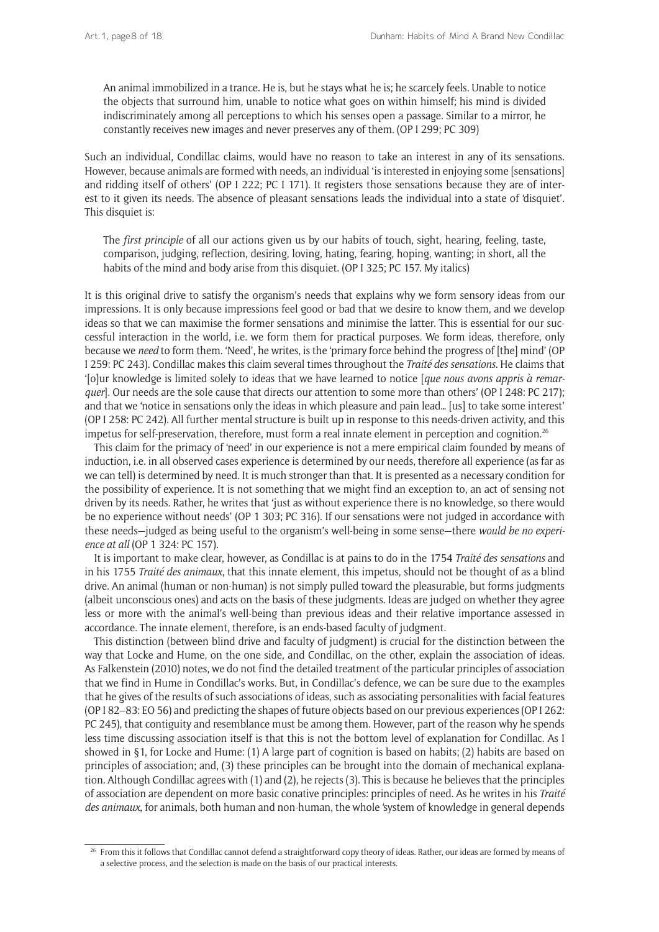An animal immobilized in a trance. He is, but he stays what he is; he scarcely feels. Unable to notice the objects that surround him, unable to notice what goes on within himself; his mind is divided indiscriminately among all perceptions to which his senses open a passage. Similar to a mirror, he constantly receives new images and never preserves any of them. (OP I 299; PC 309)

Such an individual, Condillac claims, would have no reason to take an interest in any of its sensations. However, because animals are formed with needs, an individual 'is interested in enjoying some [sensations] and ridding itself of others' (OP I 222; PC I 171). It registers those sensations because they are of interest to it given its needs. The absence of pleasant sensations leads the individual into a state of 'disquiet'. This disquiet is:

The *first principle* of all our actions given us by our habits of touch, sight, hearing, feeling, taste, comparison, judging, reflection, desiring, loving, hating, fearing, hoping, wanting; in short, all the habits of the mind and body arise from this disquiet. (OP I 325; PC 157. My italics)

It is this original drive to satisfy the organism's needs that explains why we form sensory ideas from our impressions. It is only because impressions feel good or bad that we desire to know them, and we develop ideas so that we can maximise the former sensations and minimise the latter. This is essential for our successful interaction in the world, i.e. we form them for practical purposes. We form ideas, therefore, only because we *need* to form them. 'Need', he writes, is the 'primary force behind the progress of [the] mind' (OP I 259: PC 243). Condillac makes this claim several times throughout the *Traité des sensations*. He claims that '[o]ur knowledge is limited solely to ideas that we have learned to notice [*que nous avons appris à remarquer*]. Our needs are the sole cause that directs our attention to some more than others' (OP I 248: PC 217); and that we 'notice in sensations only the ideas in which pleasure and pain lead… [us] to take some interest' (OP I 258: PC 242). All further mental structure is built up in response to this needs-driven activity, and this impetus for self-preservation, therefore, must form a real innate element in perception and cognition.<sup>26</sup>

This claim for the primacy of 'need' in our experience is not a mere empirical claim founded by means of induction, i.e. in all observed cases experience is determined by our needs, therefore all experience (as far as we can tell) is determined by need. It is much stronger than that. It is presented as a necessary condition for the possibility of experience. It is not something that we might find an exception to, an act of sensing not driven by its needs. Rather, he writes that 'just as without experience there is no knowledge, so there would be no experience without needs' (OP 1 303; PC 316). If our sensations were not judged in accordance with these needs—judged as being useful to the organism's well-being in some sense—there *would be no experience at all* (OP 1 324: PC 157).

It is important to make clear, however, as Condillac is at pains to do in the 1754 *Traité des sensations* and in his 1755 *Traité des animaux*, that this innate element, this impetus, should not be thought of as a blind drive. An animal (human or non-human) is not simply pulled toward the pleasurable, but forms judgments (albeit unconscious ones) and acts on the basis of these judgments. Ideas are judged on whether they agree less or more with the animal's well-being than previous ideas and their relative importance assessed in accordance. The innate element, therefore, is an ends-based faculty of judgment.

This distinction (between blind drive and faculty of judgment) is crucial for the distinction between the way that Locke and Hume, on the one side, and Condillac, on the other, explain the association of ideas. As Falkenstein (2010) notes, we do not find the detailed treatment of the particular principles of association that we find in Hume in Condillac's works. But, in Condillac's defence, we can be sure due to the examples that he gives of the results of such associations of ideas, such as associating personalities with facial features (OP I 82–83: EO 56) and predicting the shapes of future objects based on our previous experiences (OP I 262: PC 245), that contiguity and resemblance must be among them. However, part of the reason why he spends less time discussing association itself is that this is not the bottom level of explanation for Condillac. As I showed in §1, for Locke and Hume: (1) A large part of cognition is based on habits; (2) habits are based on principles of association; and, (3) these principles can be brought into the domain of mechanical explanation. Although Condillac agrees with (1) and (2), he rejects (3). This is because he believes that the principles of association are dependent on more basic conative principles: principles of need. As he writes in his *Traité des animaux*, for animals, both human and non-human, the whole 'system of knowledge in general depends

<sup>&</sup>lt;sup>26</sup> From this it follows that Condillac cannot defend a straightforward copy theory of ideas. Rather, our ideas are formed by means of a selective process, and the selection is made on the basis of our practical interests.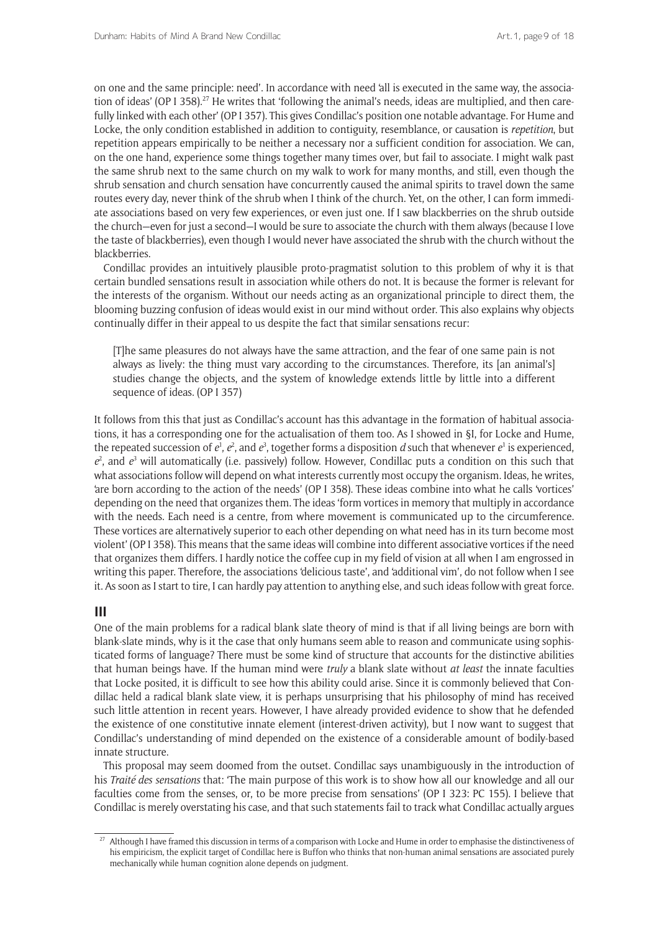on one and the same principle: need'. In accordance with need 'all is executed in the same way, the association of ideas' (OP I 358).<sup>27</sup> He writes that 'following the animal's needs, ideas are multiplied, and then carefully linked with each other' (OP I 357). This gives Condillac's position one notable advantage. For Hume and Locke, the only condition established in addition to contiguity, resemblance, or causation is *repetition*, but repetition appears empirically to be neither a necessary nor a sufficient condition for association. We can, on the one hand, experience some things together many times over, but fail to associate. I might walk past the same shrub next to the same church on my walk to work for many months, and still, even though the shrub sensation and church sensation have concurrently caused the animal spirits to travel down the same routes every day, never think of the shrub when I think of the church. Yet, on the other, I can form immediate associations based on very few experiences, or even just one. If I saw blackberries on the shrub outside the church—even for just a second—I would be sure to associate the church with them always (because I love the taste of blackberries), even though I would never have associated the shrub with the church without the blackberries.

Condillac provides an intuitively plausible proto-pragmatist solution to this problem of why it is that certain bundled sensations result in association while others do not. It is because the former is relevant for the interests of the organism. Without our needs acting as an organizational principle to direct them, the blooming buzzing confusion of ideas would exist in our mind without order. This also explains why objects continually differ in their appeal to us despite the fact that similar sensations recur:

[T]he same pleasures do not always have the same attraction, and the fear of one same pain is not always as lively: the thing must vary according to the circumstances. Therefore, its [an animal's] studies change the objects, and the system of knowledge extends little by little into a different sequence of ideas. (OP I 357)

It follows from this that just as Condillac's account has this advantage in the formation of habitual associations, it has a corresponding one for the actualisation of them too. As I showed in §I, for Locke and Hume, the repeated succession of  $e^1$ ,  $e^2$ , and  $e^3$ , together forms a disposition *d* such that whenever  $e^1$  is experienced,  $e^2$ , and  $e^3$  will automatically (i.e. passively) follow. However, Condillac puts a condition on this such that what associations follow will depend on what interests currently most occupy the organism. Ideas, he writes, 'are born according to the action of the needs' (OP I 358). These ideas combine into what he calls 'vortices' depending on the need that organizes them. The ideas 'form vortices in memory that multiply in accordance with the needs. Each need is a centre, from where movement is communicated up to the circumference. These vortices are alternatively superior to each other depending on what need has in its turn become most violent' (OP I 358). This means that the same ideas will combine into different associative vortices if the need that organizes them differs. I hardly notice the coffee cup in my field of vision at all when I am engrossed in writing this paper. Therefore, the associations 'delicious taste', and 'additional vim', do not follow when I see it. As soon as I start to tire, I can hardly pay attention to anything else, and such ideas follow with great force.

### **III**

One of the main problems for a radical blank slate theory of mind is that if all living beings are born with blank-slate minds, why is it the case that only humans seem able to reason and communicate using sophisticated forms of language? There must be some kind of structure that accounts for the distinctive abilities that human beings have. If the human mind were *truly* a blank slate without *at least* the innate faculties that Locke posited, it is difficult to see how this ability could arise. Since it is commonly believed that Condillac held a radical blank slate view, it is perhaps unsurprising that his philosophy of mind has received such little attention in recent years. However, I have already provided evidence to show that he defended the existence of one constitutive innate element (interest-driven activity), but I now want to suggest that Condillac's understanding of mind depended on the existence of a considerable amount of bodily-based innate structure.

This proposal may seem doomed from the outset. Condillac says unambiguously in the introduction of his *Traité des sensations* that: 'The main purpose of this work is to show how all our knowledge and all our faculties come from the senses, or, to be more precise from sensations' (OP I 323: PC 155). I believe that Condillac is merely overstating his case, and that such statements fail to track what Condillac actually argues

<sup>&</sup>lt;sup>27</sup> Although I have framed this discussion in terms of a comparison with Locke and Hume in order to emphasise the distinctiveness of his empiricism, the explicit target of Condillac here is Buffon who thinks that non-human animal sensations are associated purely mechanically while human cognition alone depends on judgment.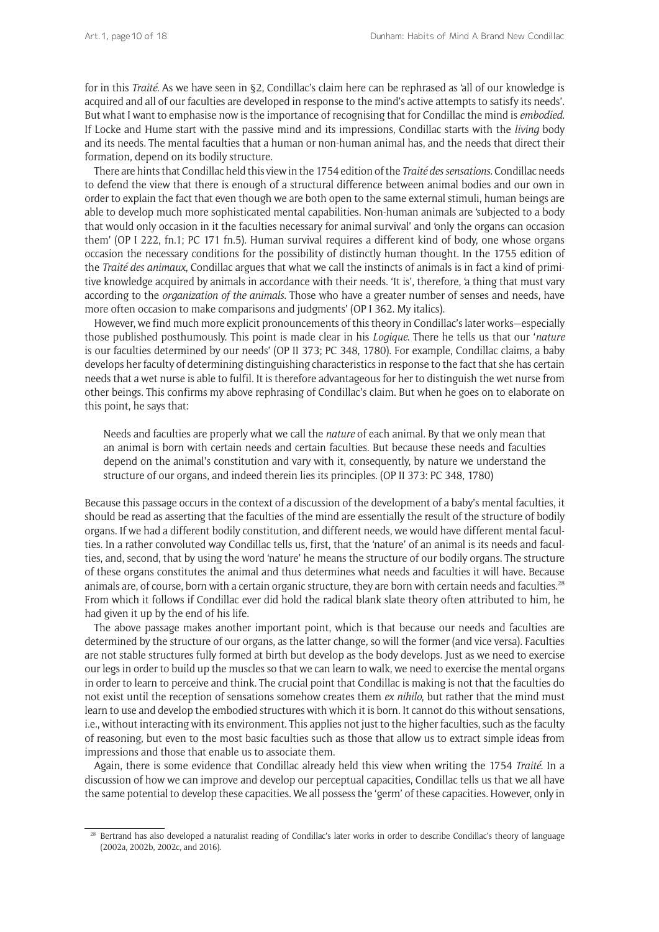for in this *Traité*. As we have seen in §2, Condillac's claim here can be rephrased as 'all of our knowledge is acquired and all of our faculties are developed in response to the mind's active attempts to satisfy its needs'. But what I want to emphasise now is the importance of recognising that for Condillac the mind is *embodied*. If Locke and Hume start with the passive mind and its impressions, Condillac starts with the *living* body and its needs. The mental faculties that a human or non-human animal has, and the needs that direct their formation, depend on its bodily structure.

There are hints that Condillac held this view in the 1754 edition of the *Traité des sensations*. Condillac needs to defend the view that there is enough of a structural difference between animal bodies and our own in order to explain the fact that even though we are both open to the same external stimuli, human beings are able to develop much more sophisticated mental capabilities. Non-human animals are 'subjected to a body that would only occasion in it the faculties necessary for animal survival' and 'only the organs can occasion them' (OP I 222, fn.1; PC 171 fn.5). Human survival requires a different kind of body, one whose organs occasion the necessary conditions for the possibility of distinctly human thought. In the 1755 edition of the *Traité des animaux*, Condillac argues that what we call the instincts of animals is in fact a kind of primitive knowledge acquired by animals in accordance with their needs. 'It is', therefore, 'a thing that must vary according to the *organization of the animals*. Those who have a greater number of senses and needs, have more often occasion to make comparisons and judgments' (OP I 362. My italics).

However, we find much more explicit pronouncements of this theory in Condillac's later works—especially those published posthumously. This point is made clear in his *Logique*. There he tells us that our '*nature* is our faculties determined by our needs' (OP II 373; PC 348, 1780). For example, Condillac claims, a baby develops her faculty of determining distinguishing characteristics in response to the fact that she has certain needs that a wet nurse is able to fulfil. It is therefore advantageous for her to distinguish the wet nurse from other beings. This confirms my above rephrasing of Condillac's claim. But when he goes on to elaborate on this point, he says that:

Needs and faculties are properly what we call the *nature* of each animal. By that we only mean that an animal is born with certain needs and certain faculties. But because these needs and faculties depend on the animal's constitution and vary with it, consequently, by nature we understand the structure of our organs, and indeed therein lies its principles. (OP II 373: PC 348, 1780)

Because this passage occurs in the context of a discussion of the development of a baby's mental faculties, it should be read as asserting that the faculties of the mind are essentially the result of the structure of bodily organs. If we had a different bodily constitution, and different needs, we would have different mental faculties. In a rather convoluted way Condillac tells us, first, that the 'nature' of an animal is its needs and faculties, and, second, that by using the word 'nature' he means the structure of our bodily organs. The structure of these organs constitutes the animal and thus determines what needs and faculties it will have. Because animals are, of course, born with a certain organic structure, they are born with certain needs and faculties.<sup>28</sup> From which it follows if Condillac ever did hold the radical blank slate theory often attributed to him, he had given it up by the end of his life.

The above passage makes another important point, which is that because our needs and faculties are determined by the structure of our organs, as the latter change, so will the former (and vice versa). Faculties are not stable structures fully formed at birth but develop as the body develops. Just as we need to exercise our legs in order to build up the muscles so that we can learn to walk, we need to exercise the mental organs in order to learn to perceive and think. The crucial point that Condillac is making is not that the faculties do not exist until the reception of sensations somehow creates them *ex nihilo*, but rather that the mind must learn to use and develop the embodied structures with which it is born. It cannot do this without sensations, i.e., without interacting with its environment. This applies not just to the higher faculties, such as the faculty of reasoning, but even to the most basic faculties such as those that allow us to extract simple ideas from impressions and those that enable us to associate them.

Again, there is some evidence that Condillac already held this view when writing the 1754 *Traité*. In a discussion of how we can improve and develop our perceptual capacities, Condillac tells us that we all have the same potential to develop these capacities. We all possess the 'germ' of these capacities. However, only in

<sup>&</sup>lt;sup>28</sup> Bertrand has also developed a naturalist reading of Condillac's later works in order to describe Condillac's theory of language (2002a, 2002b, 2002c, and 2016).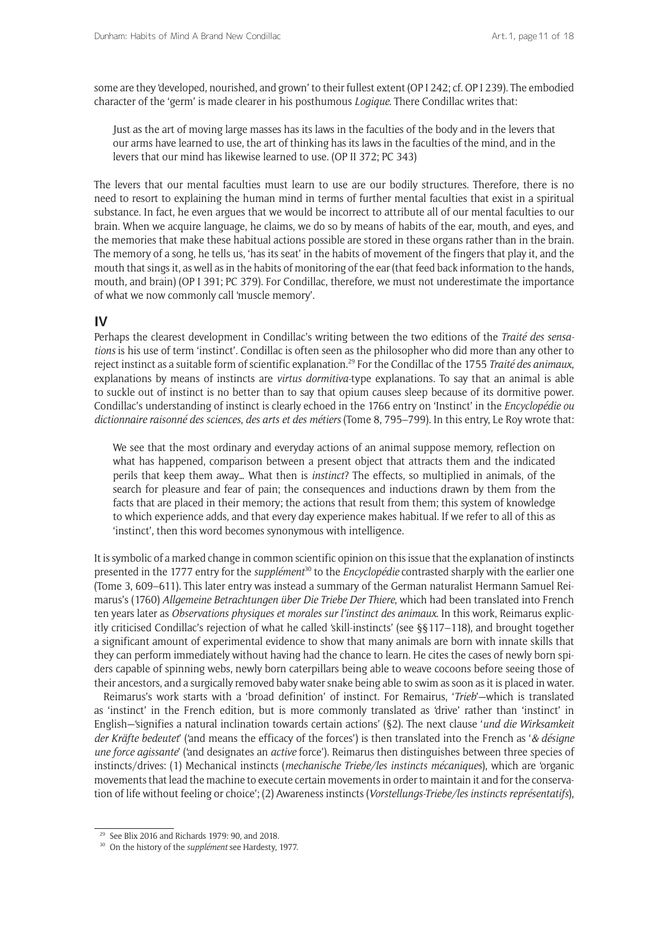some are they 'developed, nourished, and grown' to their fullest extent (OP I 242; cf. OP I 239). The embodied character of the 'germ' is made clearer in his posthumous *Logique*. There Condillac writes that:

Just as the art of moving large masses has its laws in the faculties of the body and in the levers that our arms have learned to use, the art of thinking has its laws in the faculties of the mind, and in the levers that our mind has likewise learned to use. (OP II 372; PC 343)

The levers that our mental faculties must learn to use are our bodily structures. Therefore, there is no need to resort to explaining the human mind in terms of further mental faculties that exist in a spiritual substance. In fact, he even argues that we would be incorrect to attribute all of our mental faculties to our brain. When we acquire language, he claims, we do so by means of habits of the ear, mouth, and eyes, and the memories that make these habitual actions possible are stored in these organs rather than in the brain. The memory of a song, he tells us, 'has its seat' in the habits of movement of the fingers that play it, and the mouth that sings it, as well as in the habits of monitoring of the ear (that feed back information to the hands, mouth, and brain) (OP I 391; PC 379). For Condillac, therefore, we must not underestimate the importance of what we now commonly call 'muscle memory'.

### **IV**

Perhaps the clearest development in Condillac's writing between the two editions of the *Traité des sensations* is his use of term 'instinct'. Condillac is often seen as the philosopher who did more than any other to reject instinct as a suitable form of scientific explanation.29 For the Condillac of the 1755 *Traité des animaux*, explanations by means of instincts are *virtus dormitiva-*type explanations. To say that an animal is able to suckle out of instinct is no better than to say that opium causes sleep because of its dormitive power. Condillac's understanding of instinct is clearly echoed in the 1766 entry on 'Instinct' in the *Encyclopédie ou dictionnaire raisonné des sciences*, *des arts et des métiers* (Tome 8, 795–799). In this entry, Le Roy wrote that:

We see that the most ordinary and everyday actions of an animal suppose memory, reflection on what has happened, comparison between a present object that attracts them and the indicated perils that keep them away… What then is *instinct*? The effects, so multiplied in animals, of the search for pleasure and fear of pain; the consequences and inductions drawn by them from the facts that are placed in their memory; the actions that result from them; this system of knowledge to which experience adds, and that every day experience makes habitual. If we refer to all of this as 'instinct', then this word becomes synonymous with intelligence.

It is symbolic of a marked change in common scientific opinion on this issue that the explanation of instincts presented in the 1777 entry for the *supplément*<sup>30</sup> to the *Encyclopédie* contrasted sharply with the earlier one (Tome 3, 609–611). This later entry was instead a summary of the German naturalist Hermann Samuel Reimarus's (1760) *Allgemeine Betrachtungen über Die Triebe Der Thiere*, which had been translated into French ten years later as *Observations physiques et morales sur l'instinct des animaux*. In this work, Reimarus explicitly criticised Condillac's rejection of what he called 'skill-instincts' (see §§117–118), and brought together a significant amount of experimental evidence to show that many animals are born with innate skills that they can perform immediately without having had the chance to learn. He cites the cases of newly born spiders capable of spinning webs, newly born caterpillars being able to weave cocoons before seeing those of their ancestors, and a surgically removed baby water snake being able to swim as soon as it is placed in water.

Reimarus's work starts with a 'broad definition' of instinct. For Remairus, '*Trieb*'—which is translated as 'instinct' in the French edition, but is more commonly translated as 'drive' rather than 'instinct' in English—'signifies a natural inclination towards certain actions' (§2). The next clause '*und die Wirksamkeit der Kräfte bedeutet*' ('and means the efficacy of the forces') is then translated into the French as '*& désigne une force agissante*' ('and designates an *active* force'). Reimarus then distinguishes between three species of instincts/drives: (1) Mechanical instincts (*mechanische Triebe/les instincts mécaniques*), which are 'organic movements that lead the machine to execute certain movements in order to maintain it and for the conservation of life without feeling or choice'; (2) Awareness instincts (*Vorstellungs-Triebe/les instincts représentatifs*),

<sup>&</sup>lt;sup>29</sup> See Blix 2016 and Richards 1979: 90, and 2018.

<sup>30</sup> On the history of the *supplément* see Hardesty, 1977.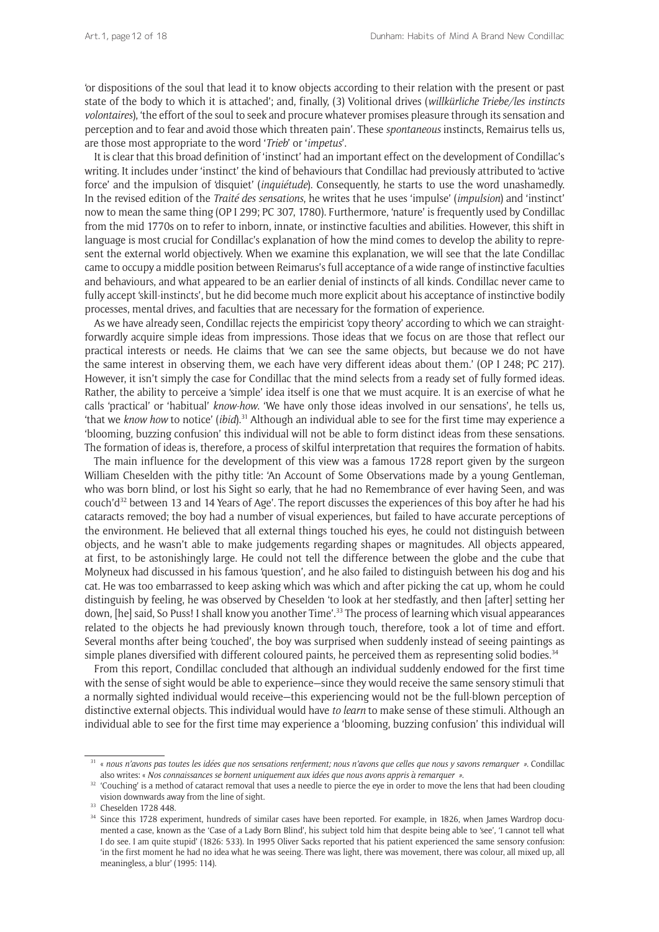'or dispositions of the soul that lead it to know objects according to their relation with the present or past state of the body to which it is attached'; and, finally, (3) Volitional drives (*willkürliche Triebe/les instincts volontaires*), 'the effort of the soul to seek and procure whatever promises pleasure through its sensation and perception and to fear and avoid those which threaten pain'. These *spontaneous* instincts, Remairus tells us, are those most appropriate to the word '*Trieb*' or '*impetus*'.

It is clear that this broad definition of 'instinct' had an important effect on the development of Condillac's writing. It includes under 'instinct' the kind of behaviours that Condillac had previously attributed to 'active force' and the impulsion of 'disquiet' (*inquiétude*). Consequently, he starts to use the word unashamedly. In the revised edition of the *Traité des sensations*, he writes that he uses 'impulse' (*impulsion*) and 'instinct' now to mean the same thing (OP I 299; PC 307, 1780). Furthermore, 'nature' is frequently used by Condillac from the mid 1770s on to refer to inborn, innate, or instinctive faculties and abilities. However, this shift in language is most crucial for Condillac's explanation of how the mind comes to develop the ability to represent the external world objectively. When we examine this explanation, we will see that the late Condillac came to occupy a middle position between Reimarus's full acceptance of a wide range of instinctive faculties and behaviours, and what appeared to be an earlier denial of instincts of all kinds. Condillac never came to fully accept 'skill-instincts', but he did become much more explicit about his acceptance of instinctive bodily processes, mental drives, and faculties that are necessary for the formation of experience.

As we have already seen, Condillac rejects the empiricist 'copy theory' according to which we can straightforwardly acquire simple ideas from impressions. Those ideas that we focus on are those that reflect our practical interests or needs. He claims that 'we can see the same objects, but because we do not have the same interest in observing them, we each have very different ideas about them.' (OP I 248; PC 217). However, it isn't simply the case for Condillac that the mind selects from a ready set of fully formed ideas. Rather, the ability to perceive a 'simple' idea itself is one that we must acquire. It is an exercise of what he calls 'practical' or 'habitual' *know-how*. 'We have only those ideas involved in our sensations', he tells us, 'that we *know how* to notice' (*ibid*). 31 Although an individual able to see for the first time may experience a 'blooming, buzzing confusion' this individual will not be able to form distinct ideas from these sensations. The formation of ideas is, therefore, a process of skilful interpretation that requires the formation of habits.

The main influence for the development of this view was a famous 1728 report given by the surgeon William Cheselden with the pithy title: 'An Account of Some Observations made by a young Gentleman, who was born blind, or lost his Sight so early, that he had no Remembrance of ever having Seen, and was couch'd32 between 13 and 14 Years of Age'. The report discusses the experiences of this boy after he had his cataracts removed; the boy had a number of visual experiences, but failed to have accurate perceptions of the environment. He believed that all external things touched his eyes, he could not distinguish between objects, and he wasn't able to make judgements regarding shapes or magnitudes. All objects appeared, at first, to be astonishingly large. He could not tell the difference between the globe and the cube that Molyneux had discussed in his famous 'question', and he also failed to distinguish between his dog and his cat. He was too embarrassed to keep asking which was which and after picking the cat up, whom he could distinguish by feeling, he was observed by Cheselden 'to look at her stedfastly, and then [after] setting her down, [he] said, So Puss! I shall know you another Time'.<sup>33</sup> The process of learning which visual appearances related to the objects he had previously known through touch, therefore, took a lot of time and effort. Several months after being 'couched', the boy was surprised when suddenly instead of seeing paintings as simple planes diversified with different coloured paints, he perceived them as representing solid bodies.<sup>34</sup>

From this report, Condillac concluded that although an individual suddenly endowed for the first time with the sense of sight would be able to experience—since they would receive the same sensory stimuli that a normally sighted individual would receive—this experiencing would not be the full-blown perception of distinctive external objects. This individual would have *to learn* to make sense of these stimuli. Although an individual able to see for the first time may experience a 'blooming, buzzing confusion' this individual will

<sup>31</sup> « *nous n'avons pas toutes les idées que nos sensations renferment; nous n'avons que celles que nous y savons remarquer »*. Condillac also writes: « *Nos connaissances se bornent uniquement aux idées que nous avons appris à remarquer »*.

<sup>&</sup>lt;sup>32</sup> 'Couching' is a method of cataract removal that uses a needle to pierce the eye in order to move the lens that had been clouding vision downwards away from the line of sight.

<sup>33</sup> Cheselden 1728 448.

<sup>&</sup>lt;sup>34</sup> Since this 1728 experiment, hundreds of similar cases have been reported. For example, in 1826, when James Wardrop documented a case, known as the 'Case of a Lady Born Blind', his subject told him that despite being able to 'see', 'I cannot tell what I do see. I am quite stupid' (1826: 533). In 1995 Oliver Sacks reported that his patient experienced the same sensory confusion: 'in the first moment he had no idea what he was seeing. There was light, there was movement, there was colour, all mixed up, all meaningless, a blur' (1995: 114).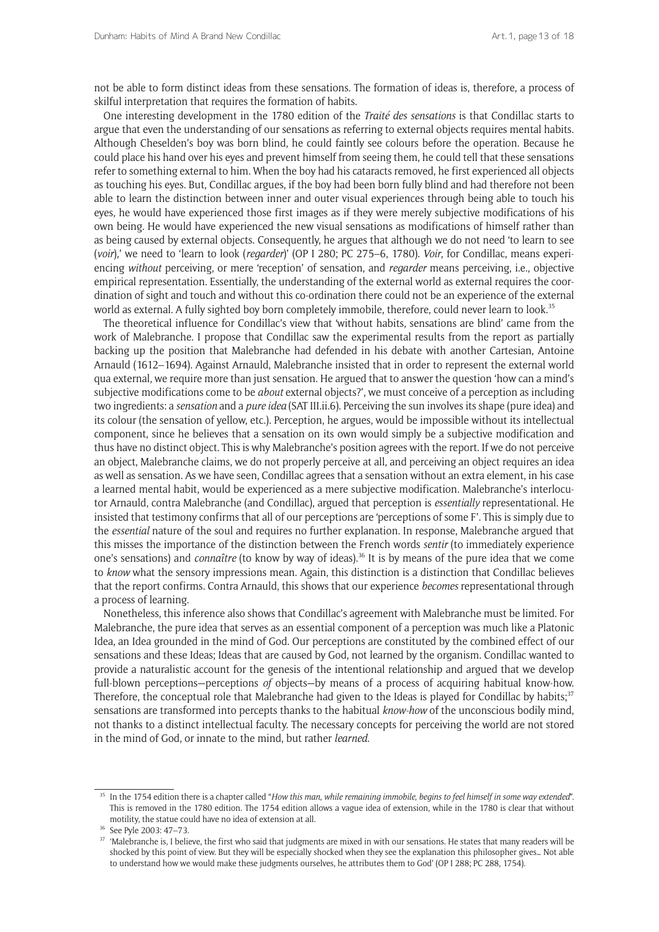not be able to form distinct ideas from these sensations. The formation of ideas is, therefore, a process of skilful interpretation that requires the formation of habits.

One interesting development in the 1780 edition of the *Traité des sensations* is that Condillac starts to argue that even the understanding of our sensations as referring to external objects requires mental habits. Although Cheselden's boy was born blind, he could faintly see colours before the operation. Because he could place his hand over his eyes and prevent himself from seeing them, he could tell that these sensations refer to something external to him. When the boy had his cataracts removed, he first experienced all objects as touching his eyes. But, Condillac argues, if the boy had been born fully blind and had therefore not been able to learn the distinction between inner and outer visual experiences through being able to touch his eyes, he would have experienced those first images as if they were merely subjective modifications of his own being. He would have experienced the new visual sensations as modifications of himself rather than as being caused by external objects. Consequently, he argues that although we do not need 'to learn to see (*voir*),' we need to 'learn to look (*regarder*)' (OP I 280; PC 275–6, 1780). *Voir*, for Condillac, means experiencing *without* perceiving, or mere 'reception' of sensation, and *regarder* means perceiving, i.e., objective empirical representation. Essentially, the understanding of the external world as external requires the coordination of sight and touch and without this co-ordination there could not be an experience of the external world as external. A fully sighted boy born completely immobile, therefore, could never learn to look.<sup>35</sup>

The theoretical influence for Condillac's view that 'without habits, sensations are blind' came from the work of Malebranche. I propose that Condillac saw the experimental results from the report as partially backing up the position that Malebranche had defended in his debate with another Cartesian, Antoine Arnauld (1612–1694). Against Arnauld, Malebranche insisted that in order to represent the external world qua external, we require more than just sensation. He argued that to answer the question 'how can a mind's subjective modifications come to be *about* external objects?', we must conceive of a perception as including two ingredients: a *sensation* and a *pure idea* (SAT III.ii.6). Perceiving the sun involves its shape (pure idea) and its colour (the sensation of yellow, etc.). Perception, he argues, would be impossible without its intellectual component, since he believes that a sensation on its own would simply be a subjective modification and thus have no distinct object. This is why Malebranche's position agrees with the report. If we do not perceive an object, Malebranche claims, we do not properly perceive at all, and perceiving an object requires an idea as well as sensation. As we have seen, Condillac agrees that a sensation without an extra element, in his case a learned mental habit, would be experienced as a mere subjective modification. Malebranche's interlocutor Arnauld, contra Malebranche (and Condillac), argued that perception is *essentially* representational. He insisted that testimony confirms that all of our perceptions are 'perceptions of some F'. This is simply due to the *essential* nature of the soul and requires no further explanation. In response, Malebranche argued that this misses the importance of the distinction between the French words *sentir* (to immediately experience one's sensations) and *connaître* (to know by way of ideas).36 It is by means of the pure idea that we come to *know* what the sensory impressions mean. Again, this distinction is a distinction that Condillac believes that the report confirms. Contra Arnauld, this shows that our experience *becomes* representational through a process of learning.

Nonetheless, this inference also shows that Condillac's agreement with Malebranche must be limited. For Malebranche, the pure idea that serves as an essential component of a perception was much like a Platonic Idea, an Idea grounded in the mind of God. Our perceptions are constituted by the combined effect of our sensations and these Ideas; Ideas that are caused by God, not learned by the organism. Condillac wanted to provide a naturalistic account for the genesis of the intentional relationship and argued that we develop full-blown perceptions—perceptions *of* objects—by means of a process of acquiring habitual know-how. Therefore, the conceptual role that Malebranche had given to the Ideas is played for Condillac by habits; $37$ sensations are transformed into percepts thanks to the habitual *know-how* of the unconscious bodily mind, not thanks to a distinct intellectual faculty. The necessary concepts for perceiving the world are not stored in the mind of God, or innate to the mind, but rather *learned*.

<sup>35</sup> In the 1754 edition there is a chapter called "*How this man*, *while remaining immobile*, *begins to feel himself in some way extended*". This is removed in the 1780 edition. The 1754 edition allows a vague idea of extension, while in the 1780 is clear that without motility, the statue could have no idea of extension at all.

<sup>36</sup> See Pyle 2003: 47–73.

<sup>&</sup>lt;sup>37</sup> 'Malebranche is, I believe, the first who said that judgments are mixed in with our sensations. He states that many readers will be shocked by this point of view. But they will be especially shocked when they see the explanation this philosopher gives… Not able to understand how we would make these judgments ourselves, he attributes them to God' (OP I 288; PC 288, 1754).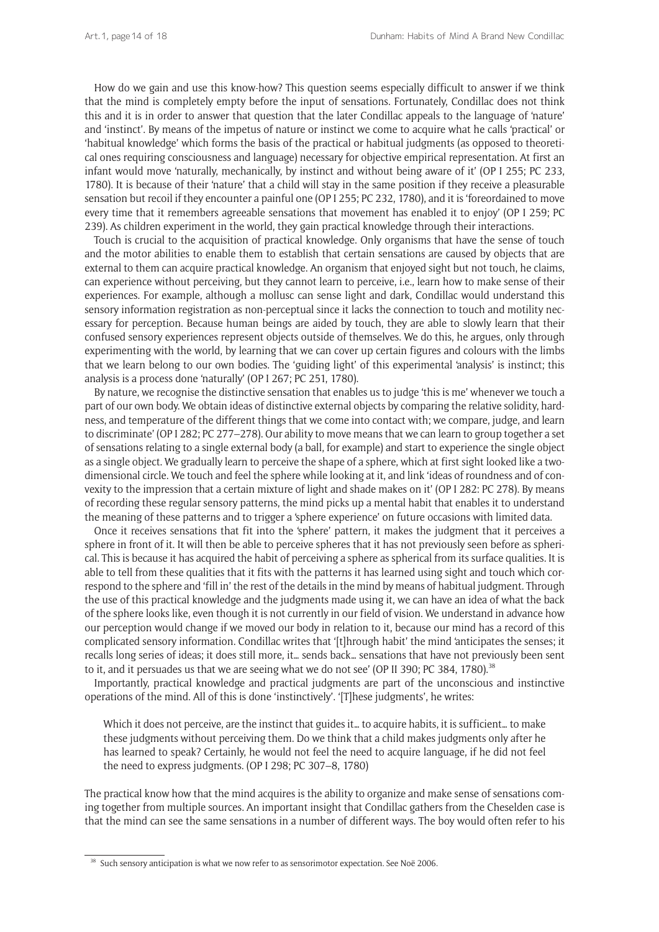How do we gain and use this know-how? This question seems especially difficult to answer if we think that the mind is completely empty before the input of sensations. Fortunately, Condillac does not think this and it is in order to answer that question that the later Condillac appeals to the language of 'nature' and 'instinct'. By means of the impetus of nature or instinct we come to acquire what he calls 'practical' or 'habitual knowledge' which forms the basis of the practical or habitual judgments (as opposed to theoretical ones requiring consciousness and language) necessary for objective empirical representation. At first an infant would move 'naturally, mechanically, by instinct and without being aware of it' (OP I 255; PC 233, 1780). It is because of their 'nature' that a child will stay in the same position if they receive a pleasurable sensation but recoil if they encounter a painful one (OP I 255; PC 232, 1780), and it is 'foreordained to move every time that it remembers agreeable sensations that movement has enabled it to enjoy' (OP I 259; PC 239). As children experiment in the world, they gain practical knowledge through their interactions.

Touch is crucial to the acquisition of practical knowledge. Only organisms that have the sense of touch and the motor abilities to enable them to establish that certain sensations are caused by objects that are external to them can acquire practical knowledge. An organism that enjoyed sight but not touch, he claims, can experience without perceiving, but they cannot learn to perceive, i.e., learn how to make sense of their experiences. For example, although a mollusc can sense light and dark, Condillac would understand this sensory information registration as non-perceptual since it lacks the connection to touch and motility necessary for perception. Because human beings are aided by touch, they are able to slowly learn that their confused sensory experiences represent objects outside of themselves. We do this, he argues, only through experimenting with the world, by learning that we can cover up certain figures and colours with the limbs that we learn belong to our own bodies. The 'guiding light' of this experimental 'analysis' is instinct; this analysis is a process done 'naturally' (OP I 267; PC 251, 1780).

By nature, we recognise the distinctive sensation that enables us to judge 'this is me' whenever we touch a part of our own body. We obtain ideas of distinctive external objects by comparing the relative solidity, hardness, and temperature of the different things that we come into contact with; we compare, judge, and learn to discriminate' (OP I 282; PC 277–278). Our ability to move means that we can learn to group together a set of sensations relating to a single external body (a ball, for example) and start to experience the single object as a single object. We gradually learn to perceive the shape of a sphere, which at first sight looked like a twodimensional circle. We touch and feel the sphere while looking at it, and link 'ideas of roundness and of convexity to the impression that a certain mixture of light and shade makes on it' (OP I 282: PC 278). By means of recording these regular sensory patterns, the mind picks up a mental habit that enables it to understand the meaning of these patterns and to trigger a 'sphere experience' on future occasions with limited data.

Once it receives sensations that fit into the 'sphere' pattern, it makes the judgment that it perceives a sphere in front of it. It will then be able to perceive spheres that it has not previously seen before as spherical. This is because it has acquired the habit of perceiving a sphere as spherical from its surface qualities. It is able to tell from these qualities that it fits with the patterns it has learned using sight and touch which correspond to the sphere and 'fill in' the rest of the details in the mind by means of habitual judgment. Through the use of this practical knowledge and the judgments made using it, we can have an idea of what the back of the sphere looks like, even though it is not currently in our field of vision. We understand in advance how our perception would change if we moved our body in relation to it, because our mind has a record of this complicated sensory information. Condillac writes that '[t]hrough habit' the mind 'anticipates the senses; it recalls long series of ideas; it does still more, it… sends back… sensations that have not previously been sent to it, and it persuades us that we are seeing what we do not see' (OP II 390; PC 384, 1780).<sup>38</sup>

Importantly, practical knowledge and practical judgments are part of the unconscious and instinctive operations of the mind. All of this is done 'instinctively'. '[T]hese judgments', he writes:

Which it does not perceive, are the instinct that guides it... to acquire habits, it is sufficient... to make these judgments without perceiving them. Do we think that a child makes judgments only after he has learned to speak? Certainly, he would not feel the need to acquire language, if he did not feel the need to express judgments. (OP I 298; PC 307–8, 1780)

The practical know how that the mind acquires is the ability to organize and make sense of sensations coming together from multiple sources. An important insight that Condillac gathers from the Cheselden case is that the mind can see the same sensations in a number of different ways. The boy would often refer to his

<sup>&</sup>lt;sup>38</sup> Such sensory anticipation is what we now refer to as sensorimotor expectation. See Noë 2006.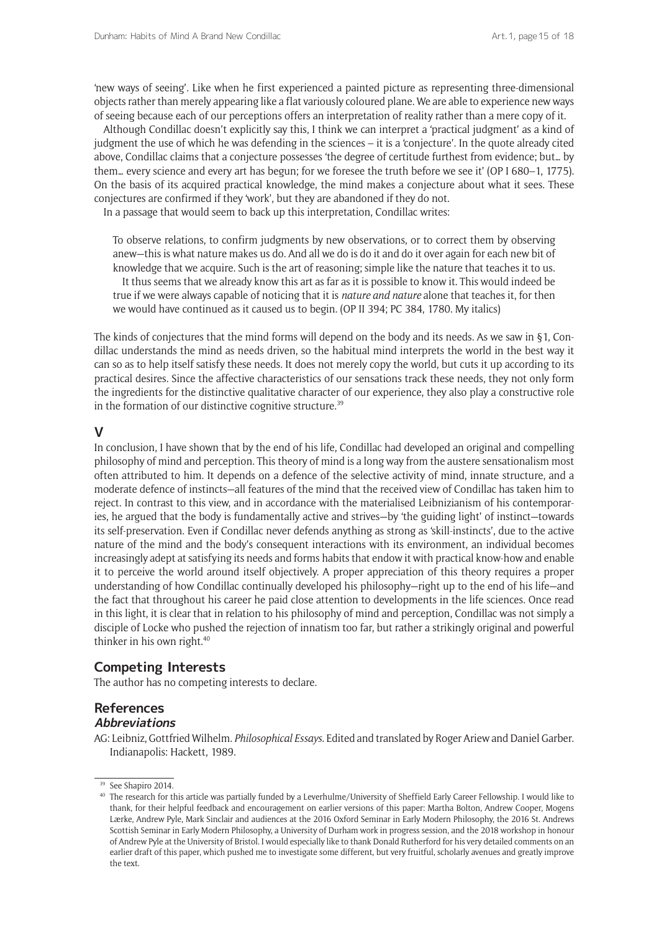'new ways of seeing'. Like when he first experienced a painted picture as representing three-dimensional objects rather than merely appearing like a flat variously coloured plane. We are able to experience new ways of seeing because each of our perceptions offers an interpretation of reality rather than a mere copy of it.

Although Condillac doesn't explicitly say this, I think we can interpret a 'practical judgment' as a kind of judgment the use of which he was defending in the sciences – it is a 'conjecture'. In the quote already cited above, Condillac claims that a conjecture possesses 'the degree of certitude furthest from evidence; but… by them… every science and every art has begun; for we foresee the truth before we see it' (OP I 680–1, 1775). On the basis of its acquired practical knowledge, the mind makes a conjecture about what it sees. These conjectures are confirmed if they 'work', but they are abandoned if they do not.

In a passage that would seem to back up this interpretation, Condillac writes:

To observe relations, to confirm judgments by new observations, or to correct them by observing anew—this is what nature makes us do. And all we do is do it and do it over again for each new bit of knowledge that we acquire. Such is the art of reasoning; simple like the nature that teaches it to us. It thus seems that we already know this art as far as it is possible to know it. This would indeed be true if we were always capable of noticing that it is *nature and nature* alone that teaches it, for then we would have continued as it caused us to begin. (OP II 394; PC 384, 1780. My italics)

The kinds of conjectures that the mind forms will depend on the body and its needs. As we saw in  $\S1$ , Condillac understands the mind as needs driven, so the habitual mind interprets the world in the best way it can so as to help itself satisfy these needs. It does not merely copy the world, but cuts it up according to its practical desires. Since the affective characteristics of our sensations track these needs, they not only form the ingredients for the distinctive qualitative character of our experience, they also play a constructive role in the formation of our distinctive cognitive structure.<sup>39</sup>

### **V**

In conclusion, I have shown that by the end of his life, Condillac had developed an original and compelling philosophy of mind and perception. This theory of mind is a long way from the austere sensationalism most often attributed to him. It depends on a defence of the selective activity of mind, innate structure, and a moderate defence of instincts—all features of the mind that the received view of Condillac has taken him to reject. In contrast to this view, and in accordance with the materialised Leibnizianism of his contemporaries, he argued that the body is fundamentally active and strives—by 'the guiding light' of instinct—towards its self-preservation. Even if Condillac never defends anything as strong as 'skill-instincts', due to the active nature of the mind and the body's consequent interactions with its environment, an individual becomes increasingly adept at satisfying its needs and forms habits that endow it with practical know-how and enable it to perceive the world around itself objectively. A proper appreciation of this theory requires a proper understanding of how Condillac continually developed his philosophy—right up to the end of his life—and the fact that throughout his career he paid close attention to developments in the life sciences. Once read in this light, it is clear that in relation to his philosophy of mind and perception, Condillac was not simply a disciple of Locke who pushed the rejection of innatism too far, but rather a strikingly original and powerful thinker in his own right.<sup>40</sup>

## **Competing Interests**

The author has no competing interests to declare.

### **References Abbreviations**

AG: Leibniz, Gottfried Wilhelm. *Philosophical Essays*. Edited and translated by Roger Ariew and Daniel Garber. Indianapolis: Hackett, 1989.

<sup>&</sup>lt;sup>39</sup> See Shapiro 2014.

<sup>40</sup> The research for this article was partially funded by a Leverhulme/University of Sheffield Early Career Fellowship. I would like to thank, for their helpful feedback and encouragement on earlier versions of this paper: Martha Bolton, Andrew Cooper, Mogens Lærke, Andrew Pyle, Mark Sinclair and audiences at the 2016 Oxford Seminar in Early Modern Philosophy, the 2016 St. Andrews Scottish Seminar in Early Modern Philosophy, a University of Durham work in progress session, and the 2018 workshop in honour of Andrew Pyle at the University of Bristol. I would especially like to thank Donald Rutherford for his very detailed comments on an earlier draft of this paper, which pushed me to investigate some different, but very fruitful, scholarly avenues and greatly improve the text.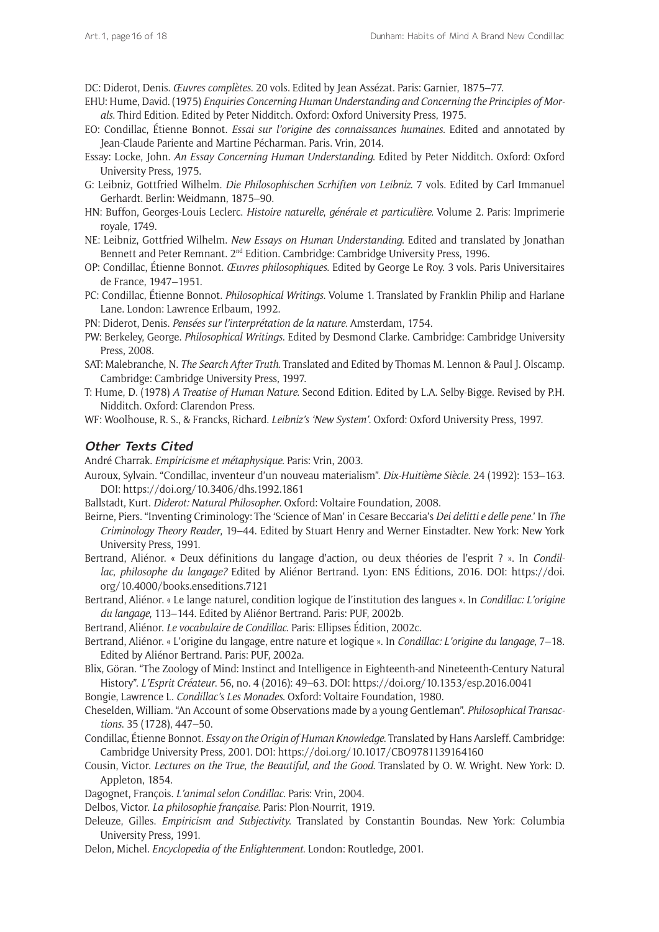DC: Diderot, Denis. *Œuvres complètes*. 20 vols. Edited by Jean Assézat. Paris: Garnier, 1875–77.

- EHU: Hume, David. (1975) *Enquiries Concerning Human Understanding and Concerning the Principles of Morals*. Third Edition. Edited by Peter Nidditch. Oxford: Oxford University Press, 1975.
- EO: Condillac, Étienne Bonnot. *Essai sur l'origine des connaissances humaines*. Edited and annotated by Jean-Claude Pariente and Martine Pécharman. Paris. Vrin, 2014.
- Essay: Locke, John. *An Essay Concerning Human Understanding*. Edited by Peter Nidditch. Oxford: Oxford University Press, 1975.
- G: Leibniz, Gottfried Wilhelm. *Die Philosophischen Scrhiften von Leibniz*. 7 vols. Edited by Carl Immanuel Gerhardt. Berlin: Weidmann, 1875–90.
- HN: Buffon, Georges-Louis Leclerc. *Histoire naturelle*, *générale et particulière*. Volume 2. Paris: Imprimerie royale, 1749.
- NE: Leibniz, Gottfried Wilhelm. *New Essays on Human Understanding*. Edited and translated by Jonathan Bennett and Peter Remnant. 2<sup>nd</sup> Edition. Cambridge: Cambridge University Press, 1996.
- OP: Condillac, Étienne Bonnot. *Œuvres philosophiques*. Edited by George Le Roy. 3 vols. Paris Universitaires de France, 1947–1951.
- PC: Condillac, Étienne Bonnot. *Philosophical Writings*. Volume 1. Translated by Franklin Philip and Harlane Lane. London: Lawrence Erlbaum, 1992.

PN: Diderot, Denis. *Pensées sur l'interprétation de la nature*. Amsterdam, 1754.

- PW: Berkeley, George. *Philosophical Writings*. Edited by Desmond Clarke. Cambridge: Cambridge University Press, 2008.
- SAT: Malebranche, N. *The Search After Truth*. Translated and Edited by Thomas M. Lennon & Paul J. Olscamp. Cambridge: Cambridge University Press, 1997.
- T: Hume, D. (1978) *A Treatise of Human Nature*. Second Edition. Edited by L.A. Selby-Bigge. Revised by P.H. Nidditch. Oxford: Clarendon Press.
- WF: Woolhouse, R. S., & Francks, Richard. *Leibniz's 'New System'*. Oxford: Oxford University Press, 1997.

### **Other Texts Cited**

André Charrak. *Empiricisme et métaphysique*. Paris: Vrin, 2003.

- Auroux, Sylvain. "Condillac, inventeur d'un nouveau materialism". *Dix-Huitième Siècle*. 24 (1992): 153–163. DOI:<https://doi.org/10.3406/dhs.1992.1861>
- Ballstadt, Kurt. *Diderot: Natural Philosopher*. Oxford: Voltaire Foundation, 2008.
- Beirne, Piers. "Inventing Criminology: The 'Science of Man' in Cesare Beccaria's *Dei delitti e delle pene*.' In *The Criminology Theory Reader*, 19–44. Edited by Stuart Henry and Werner Einstadter. New York: New York University Press, 1991.
- Bertrand, Aliénor. « Deux définitions du langage d'action, ou deux théories de l'esprit ? ». In *Condillac*, *philosophe du langage?* Edited by Aliénor Bertrand. Lyon: ENS Éditions, 2016. DOI: [https://doi.](https://doi.org/10.4000/books.enseditions.7121) [org/10.4000/books.enseditions.7121](https://doi.org/10.4000/books.enseditions.7121)
- Bertrand, Aliénor. « Le lange naturel, condition logique de l'institution des langues ». In *Condillac: L'origine du langage*, 113–144. Edited by Aliénor Bertrand. Paris: PUF, 2002b.
- Bertrand, Aliénor. *Le vocabulaire de Condillac*. Paris: Ellipses Édition, 2002c.
- Bertrand, Aliénor. « L'origine du langage, entre nature et logique ». In *Condillac: L'origine du langage*, 7–18. Edited by Aliénor Bertrand. Paris: PUF, 2002a.
- Blix, Göran. "The Zoology of Mind: Instinct and Intelligence in Eighteenth-and Nineteenth-Century Natural History". *L'Esprit Créateur*. 56, no. 4 (2016): 49–63. DOI: <https://doi.org/10.1353/esp.2016.0041>
- Bongie, Lawrence L. *Condillac's Les Monades*. Oxford: Voltaire Foundation, 1980.
- Cheselden, William. "An Account of some Observations made by a young Gentleman". *Philosophical Transactions*. 35 (1728), 447–50.
- Condillac, Étienne Bonnot. *Essay on the Origin of Human Knowledge*. Translated by Hans Aarsleff. Cambridge: Cambridge University Press, 2001. DOI:<https://doi.org/10.1017/CBO9781139164160>
- Cousin, Victor. *Lectures on the True*, *the Beautiful*, *and the Good*. Translated by O. W. Wright. New York: D. Appleton, 1854.
- Dagognet, François. *L'animal selon Condillac*. Paris: Vrin, 2004.

Delbos, Victor. *La philosophie française*. Paris: Plon-Nourrit, 1919.

- Deleuze, Gilles. *Empiricism and Subjectivity*. Translated by Constantin Boundas. New York: Columbia University Press, 1991.
- Delon, Michel. *Encyclopedia of the Enlightenment*. London: Routledge, 2001.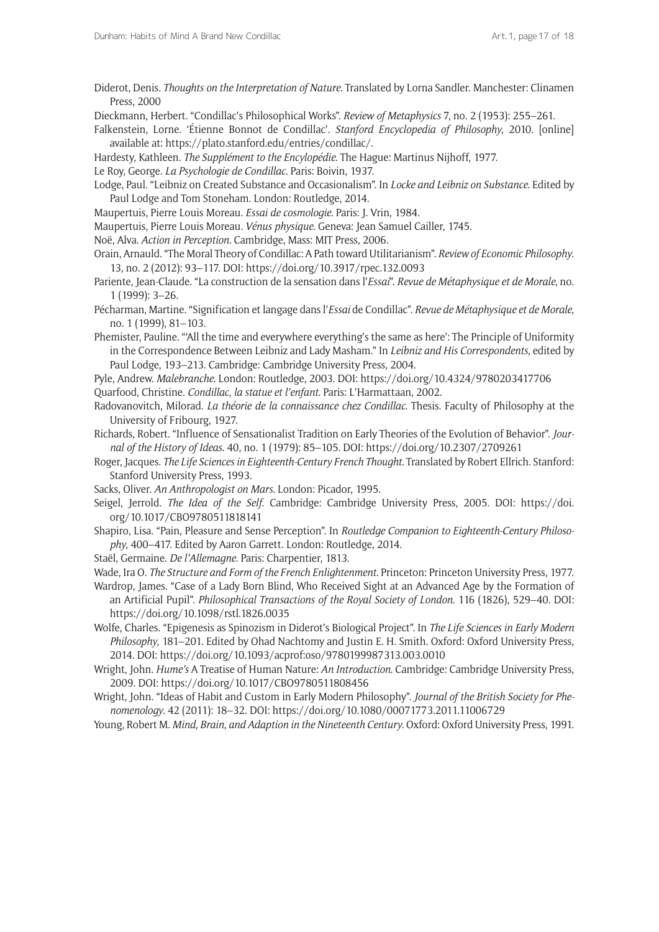Diderot, Denis. *Thoughts on the Interpretation of Nature*. Translated by Lorna Sandler. Manchester: Clinamen Press, 2000

Dieckmann, Herbert. "Condillac's Philosophical Works". *Review of Metaphysics* 7, no. 2 (1953): 255–261.

Falkenstein, Lorne. 'Étienne Bonnot de Condillac'. *Stanford Encyclopedia of Philosophy*, 2010. [online] available at:<https://plato.stanford.edu/entries/condillac/>.

- Hardesty, Kathleen. *The Supplément to the Encylopédie*. The Hague: Martinus Nijhoff, 1977.
- Le Roy, George. *La Psychologie de Condillac*. Paris: Boivin, 1937.
- Lodge, Paul. "Leibniz on Created Substance and Occasionalism". In *Locke and Leibniz on Substance*. Edited by Paul Lodge and Tom Stoneham. London: Routledge, 2014.
- Maupertuis, Pierre Louis Moreau. *Essai de cosmologie*. Paris: J. Vrin, 1984.
- Maupertuis, Pierre Louis Moreau. *Vénus physique*. Geneva: Jean Samuel Cailler, 1745.
- Noë, Alva. *Action in Perception*. Cambridge, Mass: MIT Press, 2006.
- Orain, Arnauld. "The Moral Theory of Condillac: A Path toward Utilitarianism". *Review of Economic Philosophy*. 13, no. 2 (2012): 93–117. DOI:<https://doi.org/10.3917/rpec.132.0093>
- Pariente, Jean-Claude. "La construction de la sensation dans l'*Essai*". *Revue de Métaphysique et de Morale*, no. 1 (1999): 3–26.
- Pécharman, Martine. "Signification et langage dans l'*Essai* de Condillac". *Revue de Métaphysique et de Morale*, no. 1 (1999), 81–103.
- Phemister, Pauline. "'All the time and everywhere everything's the same as here': The Principle of Uniformity in the Correspondence Between Leibniz and Lady Masham." In *Leibniz and His Correspondents*, edited by Paul Lodge, 193–213. Cambridge: Cambridge University Press, 2004.
- Pyle, Andrew. *Malebranche*. London: Routledge, 2003. DOI: <https://doi.org/10.4324/9780203417706> Quarfood, Christine. *Condillac*, *la statue et l'enfant*. Paris: L'Harmattaan, 2002.
- Radovanovitch, Milorad. *La théorie de la connaissance chez Condillac*. Thesis. Faculty of Philosophy at the University of Fribourg, 1927.
- Richards, Robert. "Influence of Sensationalist Tradition on Early Theories of the Evolution of Behavior". *Journal of the History of Ideas*. 40, no. 1 (1979): 85–105. DOI: <https://doi.org/10.2307/2709261>
- Roger, Jacques. *The Life Sciences in Eighteenth-Century French Thought*. Translated by Robert Ellrich. Stanford: Stanford University Press, 1993.
- Sacks, Oliver. *An Anthropologist on Mars*. London: Picador, 1995.
- Seigel, Jerrold. *The Idea of the Self*. Cambridge: Cambridge University Press, 2005. DOI: [https://doi.](https://doi.org/10.1017/CBO9780511818141) [org/10.1017/CBO9780511818141](https://doi.org/10.1017/CBO9780511818141)
- Shapiro, Lisa. "Pain, Pleasure and Sense Perception". In *Routledge Companion to Eighteenth-Century Philosophy*, 400–417. Edited by Aaron Garrett. London: Routledge, 2014.
- Staël, Germaine. *De l'Allemagne*. Paris: Charpentier, 1813.
- Wade, Ira O. *The Structure and Form of the French Enlightenment*. Princeton: Princeton University Press, 1977.
- Wardrop, James. "Case of a Lady Born Blind, Who Received Sight at an Advanced Age by the Formation of an Artificial Pupil". *Philosophical Transactions of the Royal Society of London*. 116 (1826), 529–40. DOI: <https://doi.org/10.1098/rstl.1826.0035>
- Wolfe, Charles. "Epigenesis as Spinozism in Diderot's Biological Project". In *The Life Sciences in Early Modern Philosophy*, 181–201. Edited by Ohad Nachtomy and Justin E. H. Smith. Oxford: Oxford University Press, 2014. DOI: <https://doi.org/10.1093/acprof:oso/9780199987313.003.0010>
- Wright, John. *Hume's* A Treatise of Human Nature: *An Introduction*. Cambridge: Cambridge University Press, 2009. DOI: <https://doi.org/10.1017/CBO9780511808456>
- Wright, John. "Ideas of Habit and Custom in Early Modern Philosophy". *Journal of the British Society for Phenomenology*. 42 (2011): 18–32. DOI:<https://doi.org/10.1080/00071773.2011.11006729>
- Young, Robert M. *Mind*, *Brain*, *and Adaption in the Nineteenth Century*. Oxford: Oxford University Press, 1991.